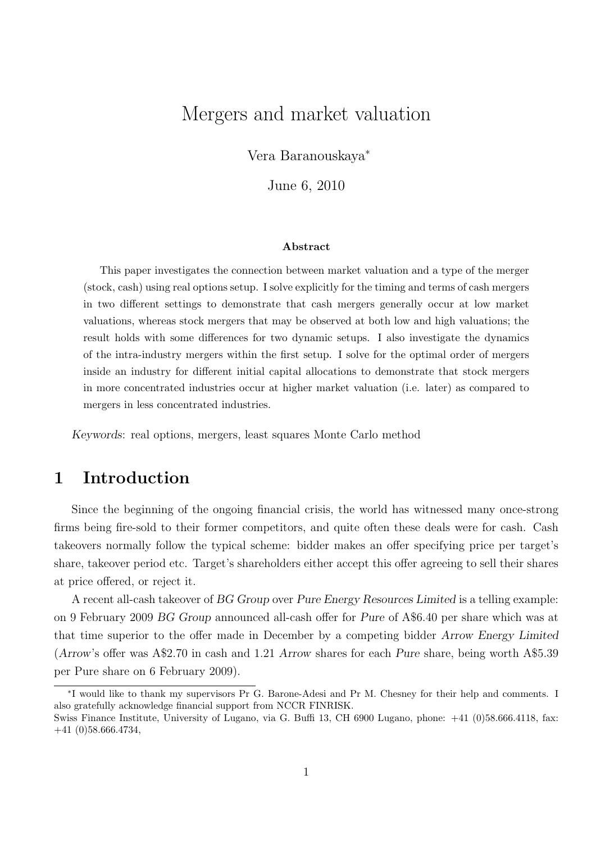# Mergers and market valuation

Vera Baranouskaya<sup>∗</sup>

June 6, 2010

#### Abstract

This paper investigates the connection between market valuation and a type of the merger (stock, cash) using real options setup. I solve explicitly for the timing and terms of cash mergers in two different settings to demonstrate that cash mergers generally occur at low market valuations, whereas stock mergers that may be observed at both low and high valuations; the result holds with some differences for two dynamic setups. I also investigate the dynamics of the intra-industry mergers within the first setup. I solve for the optimal order of mergers inside an industry for different initial capital allocations to demonstrate that stock mergers in more concentrated industries occur at higher market valuation (i.e. later) as compared to mergers in less concentrated industries.

Keywords: real options, mergers, least squares Monte Carlo method

# 1 Introduction

Since the beginning of the ongoing financial crisis, the world has witnessed many once-strong firms being fire-sold to their former competitors, and quite often these deals were for cash. Cash takeovers normally follow the typical scheme: bidder makes an offer specifying price per target's share, takeover period etc. Target's shareholders either accept this offer agreeing to sell their shares at price offered, or reject it.

A recent all-cash takeover of BG Group over Pure Energy Resources Limited is a telling example: on 9 February 2009 BG Group announced all-cash offer for Pure of A\$6.40 per share which was at that time superior to the offer made in December by a competing bidder Arrow Energy Limited (Arrow's offer was A\$2.70 in cash and 1.21 Arrow shares for each Pure share, being worth A\$5.39 per Pure share on 6 February 2009).

<sup>∗</sup> I would like to thank my supervisors Pr G. Barone-Adesi and Pr M. Chesney for their help and comments. I also gratefully acknowledge financial support from NCCR FINRISK.

Swiss Finance Institute, University of Lugano, via G. Buffi 13, CH 6900 Lugano, phone: +41 (0)58.666.4118, fax: +41 (0)58.666.4734,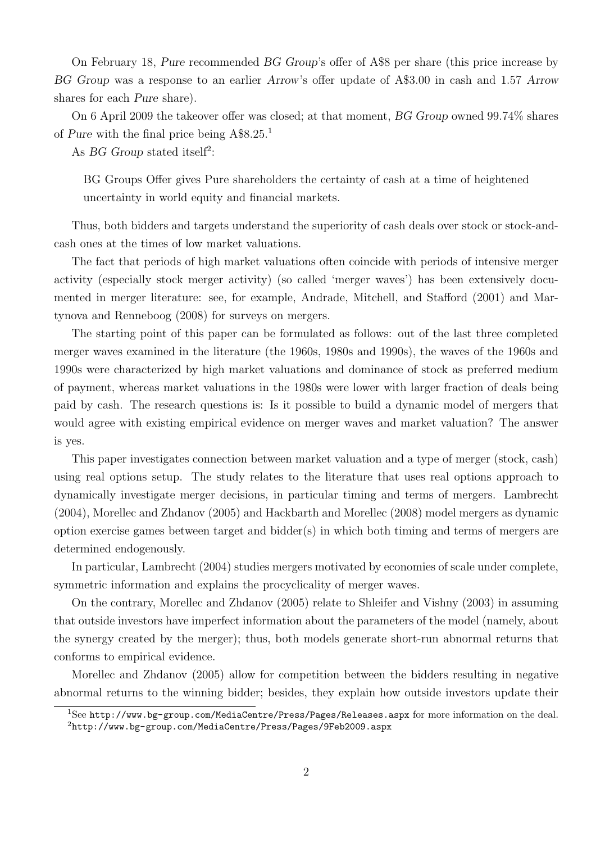On February 18, Pure recommended BG Group's offer of A\$8 per share (this price increase by BG Group was a response to an earlier Arrow's offer update of A\$3.00 in cash and 1.57 Arrow shares for each Pure share).

On 6 April 2009 the takeover offer was closed; at that moment, BG Group owned 99.74% shares of Pure with the final price being A\$8.25.[1](#page-1-0)

As BG Group stated itself<sup>[2](#page-1-1)</sup>:

BG Groups Offer gives Pure shareholders the certainty of cash at a time of heightened uncertainty in world equity and financial markets.

Thus, both bidders and targets understand the superiority of cash deals over stock or stock-andcash ones at the times of low market valuations.

The fact that periods of high market valuations often coincide with periods of intensive merger activity (especially stock merger activity) (so called 'merger waves') has been extensively documented in merger literature: see, for example, Andrade, Mitchell, and Stafford (2001) and Martynova and Renneboog (2008) for surveys on mergers.

The starting point of this paper can be formulated as follows: out of the last three completed merger waves examined in the literature (the 1960s, 1980s and 1990s), the waves of the 1960s and 1990s were characterized by high market valuations and dominance of stock as preferred medium of payment, whereas market valuations in the 1980s were lower with larger fraction of deals being paid by cash. The research questions is: Is it possible to build a dynamic model of mergers that would agree with existing empirical evidence on merger waves and market valuation? The answer is yes.

This paper investigates connection between market valuation and a type of merger (stock, cash) using real options setup. The study relates to the literature that uses real options approach to dynamically investigate merger decisions, in particular timing and terms of mergers. Lambrecht (2004), Morellec and Zhdanov (2005) and Hackbarth and Morellec (2008) model mergers as dynamic option exercise games between target and bidder $(s)$  in which both timing and terms of mergers are determined endogenously.

In particular, Lambrecht (2004) studies mergers motivated by economies of scale under complete, symmetric information and explains the procyclicality of merger waves.

On the contrary, Morellec and Zhdanov (2005) relate to Shleifer and Vishny (2003) in assuming that outside investors have imperfect information about the parameters of the model (namely, about the synergy created by the merger); thus, both models generate short-run abnormal returns that conforms to empirical evidence.

Morellec and Zhdanov (2005) allow for competition between the bidders resulting in negative abnormal returns to the winning bidder; besides, they explain how outside investors update their

<span id="page-1-1"></span><span id="page-1-0"></span><sup>&</sup>lt;sup>1</sup>See <http://www.bg-group.com/MediaCentre/Press/Pages/Releases.aspx> for more information on the deal. <sup>2</sup><http://www.bg-group.com/MediaCentre/Press/Pages/9Feb2009.aspx>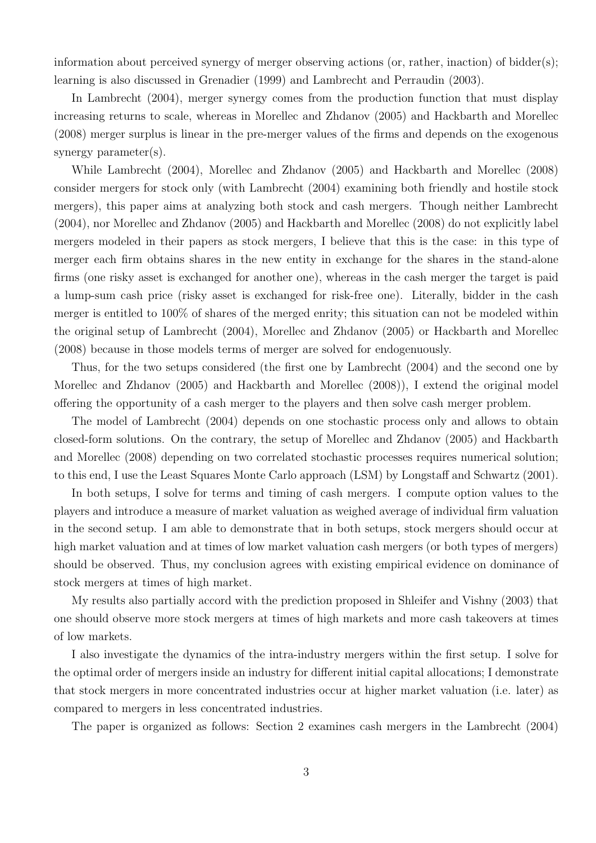information about perceived synergy of merger observing actions (or, rather, inaction) of bidder(s); learning is also discussed in Grenadier (1999) and Lambrecht and Perraudin (2003).

In Lambrecht (2004), merger synergy comes from the production function that must display increasing returns to scale, whereas in Morellec and Zhdanov (2005) and Hackbarth and Morellec (2008) merger surplus is linear in the pre-merger values of the firms and depends on the exogenous synergy parameter(s).

While Lambrecht (2004), Morellec and Zhdanov (2005) and Hackbarth and Morellec (2008) consider mergers for stock only (with Lambrecht (2004) examining both friendly and hostile stock mergers), this paper aims at analyzing both stock and cash mergers. Though neither Lambrecht (2004), nor Morellec and Zhdanov (2005) and Hackbarth and Morellec (2008) do not explicitly label mergers modeled in their papers as stock mergers, I believe that this is the case: in this type of merger each firm obtains shares in the new entity in exchange for the shares in the stand-alone firms (one risky asset is exchanged for another one), whereas in the cash merger the target is paid a lump-sum cash price (risky asset is exchanged for risk-free one). Literally, bidder in the cash merger is entitled to 100% of shares of the merged enrity; this situation can not be modeled within the original setup of Lambrecht (2004), Morellec and Zhdanov (2005) or Hackbarth and Morellec (2008) because in those models terms of merger are solved for endogenuously.

Thus, for the two setups considered (the first one by Lambrecht (2004) and the second one by Morellec and Zhdanov (2005) and Hackbarth and Morellec (2008)), I extend the original model offering the opportunity of a cash merger to the players and then solve cash merger problem.

The model of Lambrecht (2004) depends on one stochastic process only and allows to obtain closed-form solutions. On the contrary, the setup of Morellec and Zhdanov (2005) and Hackbarth and Morellec (2008) depending on two correlated stochastic processes requires numerical solution; to this end, I use the Least Squares Monte Carlo approach (LSM) by Longstaff and Schwartz (2001).

In both setups, I solve for terms and timing of cash mergers. I compute option values to the players and introduce a measure of market valuation as weighed average of individual firm valuation in the second setup. I am able to demonstrate that in both setups, stock mergers should occur at high market valuation and at times of low market valuation cash mergers (or both types of mergers) should be observed. Thus, my conclusion agrees with existing empirical evidence on dominance of stock mergers at times of high market.

My results also partially accord with the prediction proposed in Shleifer and Vishny (2003) that one should observe more stock mergers at times of high markets and more cash takeovers at times of low markets.

I also investigate the dynamics of the intra-industry mergers within the first setup. I solve for the optimal order of mergers inside an industry for different initial capital allocations; I demonstrate that stock mergers in more concentrated industries occur at higher market valuation (i.e. later) as compared to mergers in less concentrated industries.

The paper is organized as follows: Section [2](#page-3-0) examines cash mergers in the Lambrecht (2004)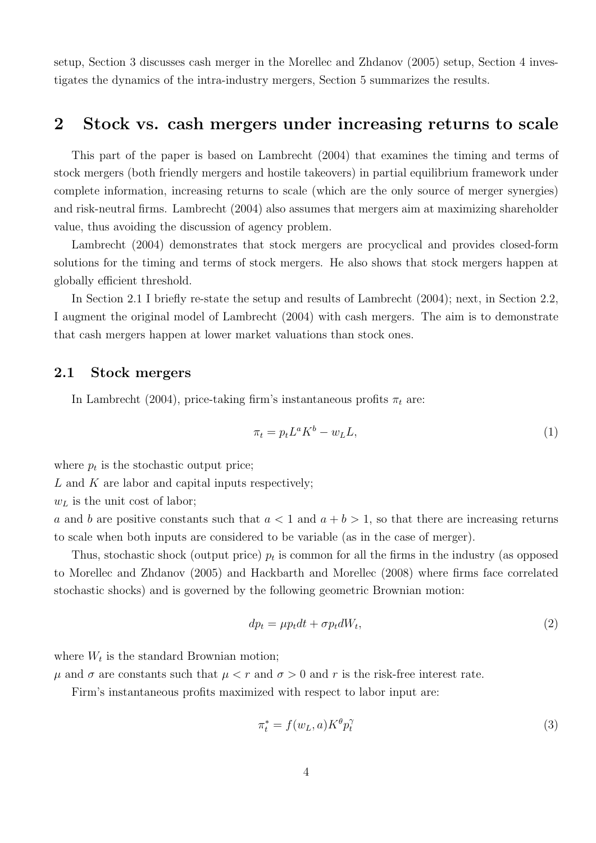setup, Section [3](#page-8-0) discusses cash merger in the Morellec and Zhdanov (2005) setup, Section [4](#page-19-0) investigates the dynamics of the intra-industry mergers, Section [5](#page-23-0) summarizes the results.

## <span id="page-3-0"></span>2 Stock vs. cash mergers under increasing returns to scale

This part of the paper is based on Lambrecht (2004) that examines the timing and terms of stock mergers (both friendly mergers and hostile takeovers) in partial equilibrium framework under complete information, increasing returns to scale (which are the only source of merger synergies) and risk-neutral firms. Lambrecht (2004) also assumes that mergers aim at maximizing shareholder value, thus avoiding the discussion of agency problem.

Lambrecht (2004) demonstrates that stock mergers are procyclical and provides closed-form solutions for the timing and terms of stock mergers. He also shows that stock mergers happen at globally efficient threshold.

In Section [2.1](#page-3-1) I briefly re-state the setup and results of Lambrecht (2004); next, in Section [2.2,](#page-5-0) I augment the original model of Lambrecht (2004) with cash mergers. The aim is to demonstrate that cash mergers happen at lower market valuations than stock ones.

### <span id="page-3-1"></span>2.1 Stock mergers

In Lambrecht (2004), price-taking firm's instantaneous profits  $\pi_t$  are:

$$
\pi_t = p_t L^a K^b - w_L L,\tag{1}
$$

where  $p_t$  is the stochastic output price;

 $L$  and  $K$  are labor and capital inputs respectively;

 $w<sub>L</sub>$  is the unit cost of labor;

a and b are positive constants such that  $a < 1$  and  $a + b > 1$ , so that there are increasing returns to scale when both inputs are considered to be variable (as in the case of merger).

Thus, stochastic shock (output price)  $p_t$  is common for all the firms in the industry (as opposed to Morellec and Zhdanov (2005) and Hackbarth and Morellec (2008) where firms face correlated stochastic shocks) and is governed by the following geometric Brownian motion:

$$
dp_t = \mu p_t dt + \sigma p_t dW_t,\tag{2}
$$

where  $W_t$  is the standard Brownian motion;

 $\mu$  and  $\sigma$  are constants such that  $\mu < r$  and  $\sigma > 0$  and r is the risk-free interest rate.

Firm's instantaneous profits maximized with respect to labor input are:

$$
\pi_t^* = f(w_L, a) K^{\theta} p_t^{\gamma} \tag{3}
$$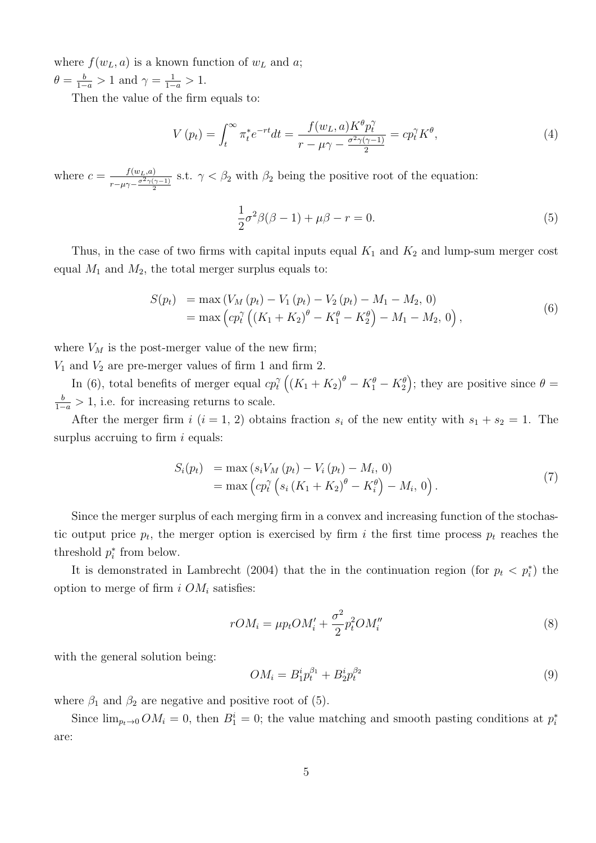where  $f(w_L, a)$  is a known function of  $w_L$  and a;  $\theta = \frac{b}{1-a} > 1$  and  $\gamma = \frac{1}{1-a} > 1$ .

Then the value of the firm equals to:

$$
V(p_t) = \int_t^{\infty} \pi_t^* e^{-rt} dt = \frac{f(w_t, a) K^{\theta} p_t^{\gamma}}{r - \mu \gamma - \frac{\sigma^2 \gamma (\gamma - 1)}{2}} = c p_t^{\gamma} K^{\theta}, \tag{4}
$$

where  $c = \frac{f(w_L, a)}{\sigma^2 \gamma(r)}$  $\sqrt{r-\mu\gamma-\frac{\sigma^2\gamma(\gamma-1)}{2}}$ s.t.  $\gamma < \beta_2$  with  $\beta_2$  being the positive root of the equation:

<span id="page-4-1"></span>
$$
\frac{1}{2}\sigma^2\beta(\beta-1)+\mu\beta-r=0.
$$
\n(5)

Thus, in the case of two firms with capital inputs equal  $K_1$  and  $K_2$  and lump-sum merger cost equal  $M_1$  and  $M_2$ , the total merger surplus equals to:

<span id="page-4-0"></span>
$$
S(p_t) = \max (V_M (p_t) - V_1 (p_t) - V_2 (p_t) - M_1 - M_2, 0)
$$
  
= 
$$
\max (c p_t^{\gamma} ((K_1 + K_2)^{\theta} - K_1^{\theta} - K_2^{\theta}) - M_1 - M_2, 0),
$$
 (6)

where  $V_M$  is the post-merger value of the new firm;

 $V_1$  and  $V_2$  are pre-merger values of firm 1 and firm 2.

In [\(6\)](#page-4-0), total benefits of merger equal  $cp_t^{\gamma}$  $\int_t^{\gamma} \left( (K_1 + K_2)^{\theta} - K_1^{\theta} - K_2^{\theta} \right)$ ; they are positive since  $\theta =$  $\frac{b}{1-a} > 1$ , i.e. for increasing returns to scale.

After the merger firm i  $(i = 1, 2)$  obtains fraction  $s_i$  of the new entity with  $s_1 + s_2 = 1$ . The surplus accruing to firm  $i$  equals:

$$
S_i(p_t) = \max(s_i V_M(p_t) - V_i(p_t) - M_i, 0)
$$
  
= 
$$
\max\left(c p_t^{\gamma} \left(s_i (K_1 + K_2)^{\theta} - K_i^{\theta}\right) - M_i, 0\right).
$$
 (7)

Since the merger surplus of each merging firm in a convex and increasing function of the stochastic output price  $p_t$ , the merger option is exercised by firm i the first time process  $p_t$  reaches the threshold  $p_i^*$  from below.

It is demonstrated in Lambrecht (2004) that the in the continuation region (for  $p_t < p_i^*$ ) the option to merge of firm i  $OM_i$  satisfies:

<span id="page-4-2"></span>
$$
rOM_i = \mu p_t OM'_i + \frac{\sigma^2}{2} p_t^2 OM''_i \tag{8}
$$

with the general solution being:

<span id="page-4-3"></span>
$$
OM_i = B_1^i p_t^{\beta_1} + B_2^i p_t^{\beta_2}
$$
\n(9)

where  $\beta_1$  and  $\beta_2$  are negative and positive root of [\(5\)](#page-4-1).

Since  $\lim_{p_t \to 0} OM_i = 0$ , then  $B_1^i = 0$ ; the value matching and smooth pasting conditions at  $p_i^*$ are: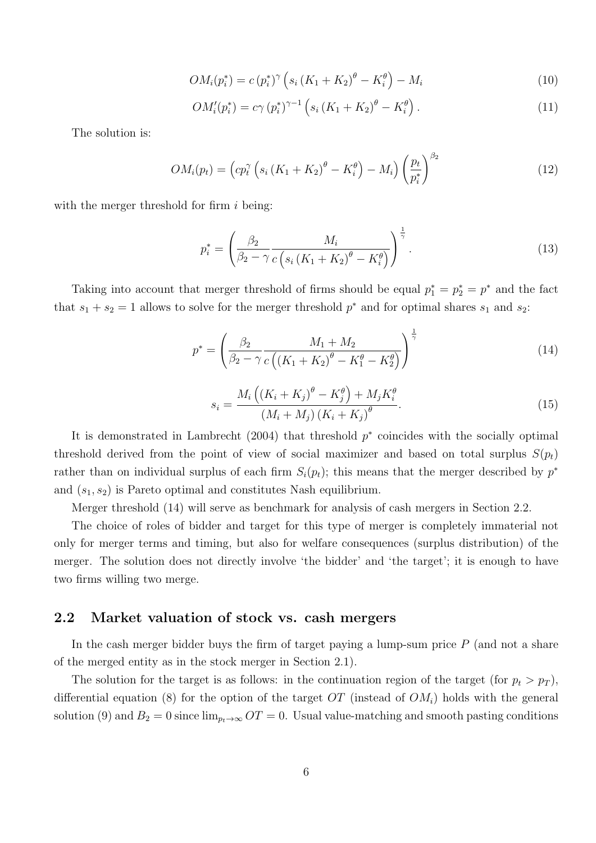$$
OM_i(p_i^*) = c (p_i^*)^{\gamma} \left( s_i \left( K_1 + K_2 \right)^{\theta} - K_i^{\theta} \right) - M_i \tag{10}
$$

$$
OM'_{i}(p_{i}^{*}) = c\gamma (p_{i}^{*})^{\gamma - 1} \left( s_{i} \left( K_{1} + K_{2} \right)^{\theta} - K_{i}^{\theta} \right). \tag{11}
$$

The solution is:

$$
OM_i(p_t) = \left( cp_t^{\gamma} \left( s_i \left( K_1 + K_2 \right)^{\theta} - K_i^{\theta} \right) - M_i \right) \left( \frac{p_t}{p_i^*} \right)^{\beta_2} \tag{12}
$$

with the merger threshold for firm  $i$  being:

$$
p_i^* = \left(\frac{\beta_2}{\beta_2 - \gamma} \frac{M_i}{c \left(s_i \left(K_1 + K_2\right)^{\theta} - K_i^{\theta}\right)}\right)^{\frac{1}{\gamma}}.
$$
\n(13)

Taking into account that merger threshold of firms should be equal  $p_1^* = p_2^* = p^*$  and the fact that  $s_1 + s_2 = 1$  allows to solve for the merger threshold  $p^*$  and for optimal shares  $s_1$  and  $s_2$ .

<span id="page-5-1"></span>
$$
p^* = \left(\frac{\beta_2}{\beta_2 - \gamma} \frac{M_1 + M_2}{c\left((K_1 + K_2)^{\theta} - K_1^{\theta} - K_2^{\theta}\right)}\right)^{\frac{1}{\gamma}}
$$
(14)

$$
s_i = \frac{M_i \left( \left( K_i + K_j \right)^{\theta} - K_j^{\theta} \right) + M_j K_i^{\theta}}{\left( M_i + M_j \right) \left( K_i + K_j \right)^{\theta}}.
$$
\n(15)

It is demonstrated in Lambrecht  $(2004)$  that threshold  $p^*$  coincides with the socially optimal threshold derived from the point of view of social maximizer and based on total surplus  $S(p_t)$ rather than on individual surplus of each firm  $S_i(p_t)$ ; this means that the merger described by  $p^*$ and  $(s_1, s_2)$  is Pareto optimal and constitutes Nash equilibrium.

Merger threshold [\(14\)](#page-5-1) will serve as benchmark for analysis of cash mergers in Section [2.2.](#page-5-0)

The choice of roles of bidder and target for this type of merger is completely immaterial not only for merger terms and timing, but also for welfare consequences (surplus distribution) of the merger. The solution does not directly involve 'the bidder' and 'the target'; it is enough to have two firms willing two merge.

### <span id="page-5-0"></span>2.2 Market valuation of stock vs. cash mergers

In the cash merger bidder buys the firm of target paying a lump-sum price  $P$  (and not a share of the merged entity as in the stock merger in Section [2.1\)](#page-3-1).

The solution for the target is as follows: in the continuation region of the target (for  $p_t > p_T$ ), differential equation [\(8\)](#page-4-2) for the option of the target OT (instead of  $OM_i$ ) holds with the general solution [\(9\)](#page-4-3) and  $B_2 = 0$  since  $\lim_{p_t \to \infty} OT = 0$ . Usual value-matching and smooth pasting conditions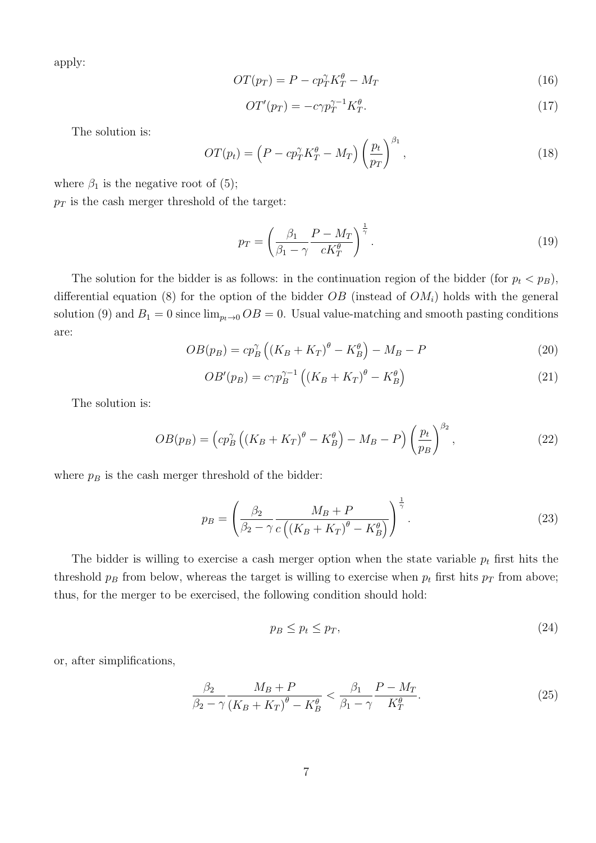apply:

$$
OT(p_T) = P - cp_T^{\gamma} K_T^{\theta} - M_T \tag{16}
$$

$$
OT'(p_T) = -c\gamma p_T^{\gamma - 1} K_T^{\theta}.\tag{17}
$$

The solution is:

$$
OT(p_t) = \left(P - c p_T^{\gamma} K_T^{\theta} - M_T\right) \left(\frac{p_t}{p_T}\right)^{\beta_1},\tag{18}
$$

where  $\beta_1$  is the negative root of [\(5\)](#page-4-1);  $p_T$  is the cash merger threshold of the target:

$$
p_T = \left(\frac{\beta_1}{\beta_1 - \gamma} \frac{P - M_T}{cK_T^{\theta}}\right)^{\frac{1}{\gamma}}.
$$
\n(19)

The solution for the bidder is as follows: in the continuation region of the bidder (for  $p_t < p_B$ ), differential equation [\(8\)](#page-4-2) for the option of the bidder  $OB$  (instead of  $OM<sub>i</sub>$ ) holds with the general solution [\(9\)](#page-4-3) and  $B_1 = 0$  since  $\lim_{p_t \to 0} OB = 0$ . Usual value-matching and smooth pasting conditions are:

$$
OB(p_B) = cp_B^{\gamma} \left( \left( K_B + K_T \right)^{\theta} - K_B^{\theta} \right) - M_B - P \tag{20}
$$

$$
OB'(p_B) = c\gamma p_B^{\gamma - 1} \left( \left( K_B + K_T \right)^{\theta} - K_B^{\theta} \right) \tag{21}
$$

The solution is:

$$
OB(p_B) = \left( cp_B^{\gamma} \left( \left( K_B + K_T \right)^{\theta} - K_B^{\theta} \right) - M_B - P \right) \left( \frac{p_t}{p_B} \right)^{\beta_2},\tag{22}
$$

where  $p_B$  is the cash merger threshold of the bidder:

$$
p_B = \left(\frac{\beta_2}{\beta_2 - \gamma} \frac{M_B + P}{c\left((K_B + K_T)^{\theta} - K_B^{\theta}\right)}\right)^{\frac{1}{\gamma}}.
$$
\n(23)

The bidder is willing to exercise a cash merger option when the state variable  $p_t$  first hits the threshold  $p_B$  from below, whereas the target is willing to exercise when  $p_t$  first hits  $p_T$  from above; thus, for the merger to be exercised, the following condition should hold:

$$
p_B \le p_t \le p_T,\tag{24}
$$

or, after simplifications,

<span id="page-6-0"></span>
$$
\frac{\beta_2}{\beta_2 - \gamma} \frac{M_B + P}{\left(K_B + K_T\right)^{\theta} - K_B^{\theta}} < \frac{\beta_1}{\beta_1 - \gamma} \frac{P - M_T}{K_T^{\theta}}.\tag{25}
$$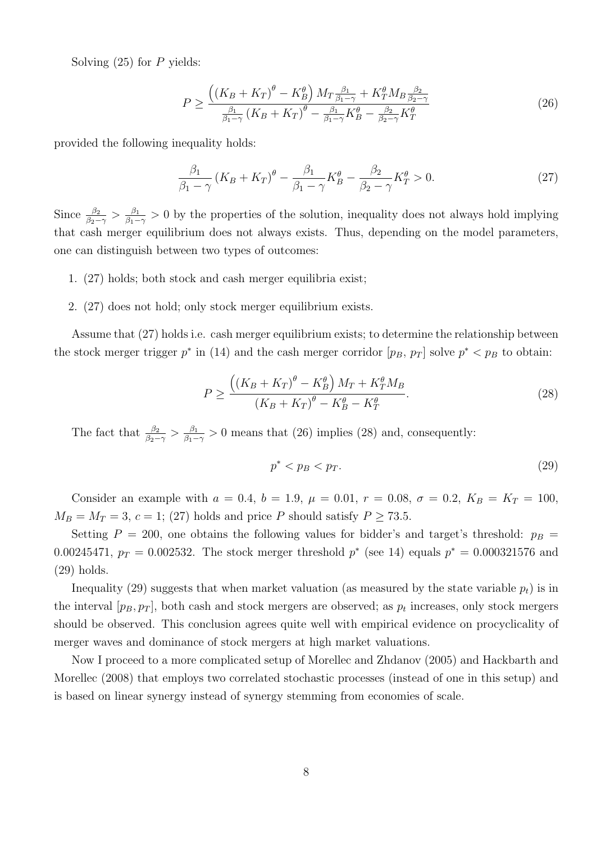Solving  $(25)$  for P yields:

<span id="page-7-1"></span>
$$
P \ge \frac{\left((K_B + K_T)^{\theta} - K_B^{\theta}\right) M_T \frac{\beta_1}{\beta_1 - \gamma} + K_T^{\theta} M_B \frac{\beta_2}{\beta_2 - \gamma}}{\frac{\beta_1}{\beta_1 - \gamma} \left(K_B + K_T\right)^{\theta} - \frac{\beta_1}{\beta_1 - \gamma} K_B^{\theta} - \frac{\beta_2}{\beta_2 - \gamma} K_T^{\theta}}\tag{26}
$$

provided the following inequality holds:

<span id="page-7-0"></span>
$$
\frac{\beta_1}{\beta_1 - \gamma} \left( K_B + K_T \right)^{\theta} - \frac{\beta_1}{\beta_1 - \gamma} K_B^{\theta} - \frac{\beta_2}{\beta_2 - \gamma} K_T^{\theta} > 0. \tag{27}
$$

Since  $\frac{\beta_2}{\beta_2 - \gamma} > \frac{\beta_1}{\beta_1 - \gamma}$  $\frac{\beta_1}{\beta_1-\gamma}>0$  by the properties of the solution, inequality does not always hold implying that cash merger equilibrium does not always exists. Thus, depending on the model parameters, one can distinguish between two types of outcomes:

- 1. [\(27\)](#page-7-0) holds; both stock and cash merger equilibria exist;
- 2. [\(27\)](#page-7-0) does not hold; only stock merger equilibrium exists.

Assume that [\(27\)](#page-7-0) holds i.e. cash merger equilibrium exists; to determine the relationship between the stock merger trigger  $p^*$  in [\(14\)](#page-5-1) and the cash merger corridor  $[p_B, p_T]$  solve  $p^* < p_B$  to obtain:

<span id="page-7-2"></span>
$$
P \ge \frac{((K_B + K_T)^{\theta} - K_B^{\theta}) M_T + K_T^{\theta} M_B}{(K_B + K_T)^{\theta} - K_B^{\theta} - K_T^{\theta}}.
$$
\n
$$
(28)
$$

The fact that  $\frac{\beta_2}{\beta_2 - \gamma} > \frac{\beta_1}{\beta_1 - \gamma}$  $\frac{\beta_1}{\beta_1-\gamma}$  > 0 means that [\(26\)](#page-7-1) implies [\(28\)](#page-7-2) and, consequently:

<span id="page-7-3"></span>
$$
p^* < p \, < p \tag{29}
$$

Consider an example with  $a = 0.4$ ,  $b = 1.9$ ,  $\mu = 0.01$ ,  $r = 0.08$ ,  $\sigma = 0.2$ ,  $K_B = K_T = 100$ ,  $M_B = M_T = 3, c = 1; (27)$  $M_B = M_T = 3, c = 1; (27)$  holds and price P should satisfy  $P \ge 73.5$ .

Setting  $P = 200$ , one obtains the following values for bidder's and target's threshold:  $p_B =$ 0.00245471,  $p_T = 0.002532$ . The stock merger threshold  $p^*$  (see [14\)](#page-5-1) equals  $p^* = 0.000321576$  and [\(29\)](#page-7-3) holds.

Inequality [\(29\)](#page-7-3) suggests that when market valuation (as measured by the state variable  $p_t$ ) is in the interval  $[p_B, p_T]$ , both cash and stock mergers are observed; as  $p_t$  increases, only stock mergers should be observed. This conclusion agrees quite well with empirical evidence on procyclicality of merger waves and dominance of stock mergers at high market valuations.

Now I proceed to a more complicated setup of Morellec and Zhdanov (2005) and Hackbarth and Morellec (2008) that employs two correlated stochastic processes (instead of one in this setup) and is based on linear synergy instead of synergy stemming from economies of scale.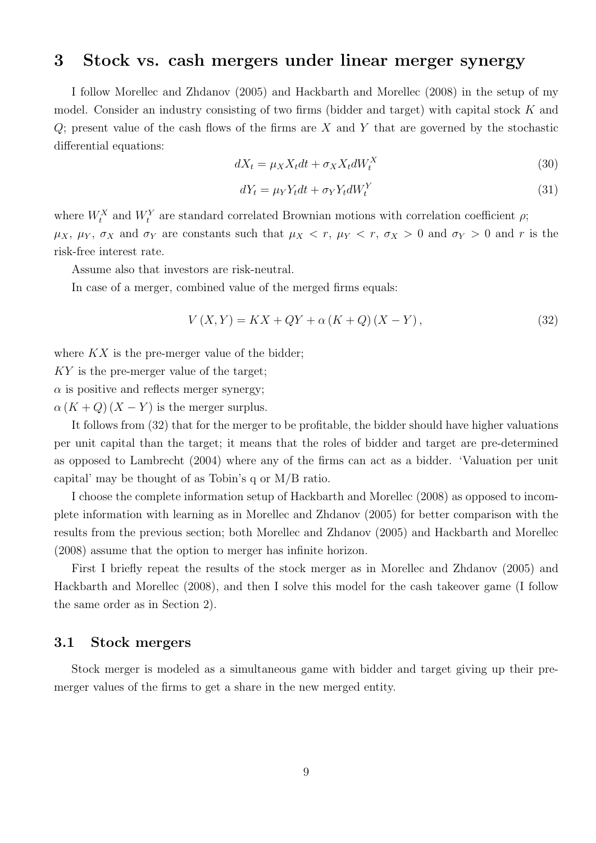### <span id="page-8-0"></span>3 Stock vs. cash mergers under linear merger synergy

I follow Morellec and Zhdanov (2005) and Hackbarth and Morellec (2008) in the setup of my model. Consider an industry consisting of two firms (bidder and target) with capital stock K and  $Q$ ; present value of the cash flows of the firms are X and Y that are governed by the stochastic differential equations:

<span id="page-8-2"></span>
$$
dX_t = \mu_X X_t dt + \sigma_X X_t dW_t^X \tag{30}
$$

<span id="page-8-3"></span>
$$
dY_t = \mu_Y Y_t dt + \sigma_Y Y_t dW_t^Y \tag{31}
$$

where  $W_t^X$  and  $W_t^Y$  are standard correlated Brownian motions with correlation coefficient  $\rho$ ;  $\mu_X$ ,  $\mu_Y$ ,  $\sigma_X$  and  $\sigma_Y$  are constants such that  $\mu_X < r$ ,  $\mu_Y < r$ ,  $\sigma_X > 0$  and  $\sigma_Y > 0$  and r is the risk-free interest rate.

Assume also that investors are risk-neutral.

In case of a merger, combined value of the merged firms equals:

<span id="page-8-1"></span>
$$
V(X,Y) = KX + QY + \alpha (K + Q) (X - Y),
$$
\n(32)

where  $KX$  is the pre-merger value of the bidder;

KY is the pre-merger value of the target;

 $\alpha$  is positive and reflects merger synergy;

 $\alpha (K+Q)(X-Y)$  is the merger surplus.

It follows from [\(32\)](#page-8-1) that for the merger to be profitable, the bidder should have higher valuations per unit capital than the target; it means that the roles of bidder and target are pre-determined as opposed to Lambrecht (2004) where any of the firms can act as a bidder. 'Valuation per unit capital' may be thought of as Tobin's q or M/B ratio.

I choose the complete information setup of Hackbarth and Morellec (2008) as opposed to incomplete information with learning as in Morellec and Zhdanov (2005) for better comparison with the results from the previous section; both Morellec and Zhdanov (2005) and Hackbarth and Morellec (2008) assume that the option to merger has infinite horizon.

First I briefly repeat the results of the stock merger as in Morellec and Zhdanov (2005) and Hackbarth and Morellec (2008), and then I solve this model for the cash takeover game (I follow the same order as in Section [2\)](#page-3-0).

### <span id="page-8-4"></span>3.1 Stock mergers

Stock merger is modeled as a simultaneous game with bidder and target giving up their premerger values of the firms to get a share in the new merged entity.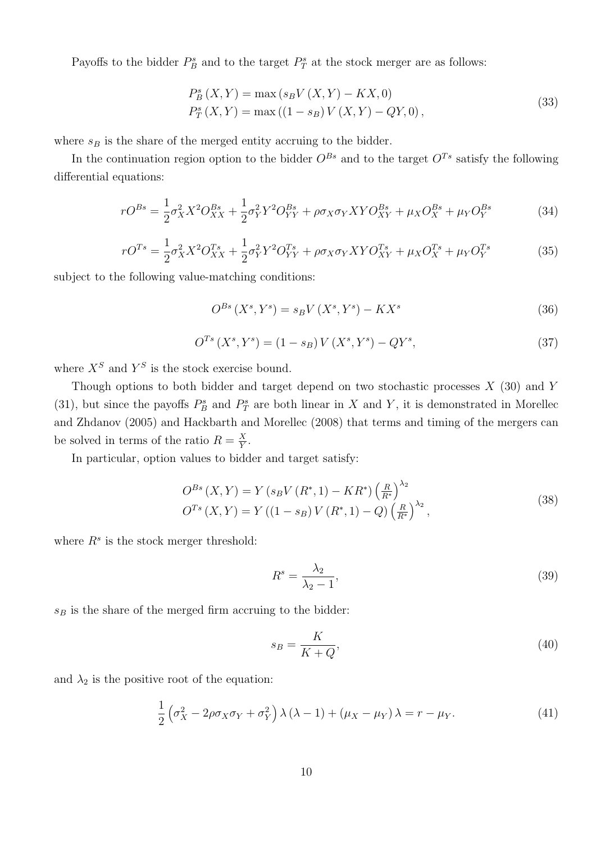Payoffs to the bidder  $P_B^s$  and to the target  $P_T^s$  at the stock merger are as follows:

<span id="page-9-0"></span>
$$
P_B^s(X, Y) = \max(s_B V(X, Y) - KX, 0)
$$
  
\n
$$
P_T^s(X, Y) = \max((1 - s_B) V(X, Y) - QY, 0),
$$
\n(33)

where  $s_B$  is the share of the merged entity accruing to the bidder.

In the continuation region option to the bidder  $O^{Bs}$  and to the target  $O^{Ts}$  satisfy the following differential equations:

$$
rO^{Bs} = \frac{1}{2}\sigma_X^2 X^2 O_{XX}^{Bs} + \frac{1}{2}\sigma_Y^2 Y^2 O_{YY}^{Bs} + \rho \sigma_X \sigma_Y X Y O_{XY}^{Bs} + \mu_X O_X^{Bs} + \mu_Y O_Y^{Bs}
$$
(34)

$$
rO^{Ts} = \frac{1}{2}\sigma_X^2 X^2 O_{XX}^{Ts} + \frac{1}{2}\sigma_Y^2 Y^2 O_{YY}^{Ts} + \rho \sigma_X \sigma_Y X Y O_{XY}^{Ts} + \mu_X O_X^{Ts} + \mu_Y O_Y^{Ts}
$$
(35)

subject to the following value-matching conditions:

$$
O^{Bs}(X^s, Y^s) = s_B V(X^s, Y^s) - K X^s \tag{36}
$$

$$
O^{Ts}(X^s, Y^s) = (1 - s_B)V(X^s, Y^s) - QY^s,
$$
\n(37)

where  $X^S$  and  $Y^S$  is the stock exercise bound.

Though options to both bidder and target depend on two stochastic processes  $X(30)$  $X(30)$  and Y [\(31\)](#page-8-3), but since the payoffs  $P_B^s$  and  $P_T^s$  are both linear in X and Y, it is demonstrated in Morellec and Zhdanov (2005) and Hackbarth and Morellec (2008) that terms and timing of the mergers can be solved in terms of the ratio  $R = \frac{X}{Y}$  $\frac{X}{Y}$  .

In particular, option values to bidder and target satisfy:

$$
O^{Bs}(X,Y) = Y(s_BV(R^*,1) - KR^*)\left(\frac{R}{R^*}\right)^{\lambda_2}
$$
  
\n
$$
O^{Ts}(X,Y) = Y((1-s_B)V(R^*,1) - Q)\left(\frac{R}{R^*}\right)^{\lambda_2},
$$
\n(38)

where  $R^s$  is the stock merger threshold:

$$
R^s = \frac{\lambda_2}{\lambda_2 - 1},\tag{39}
$$

 $s_B$  is the share of the merged firm accruing to the bidder:

$$
s_B = \frac{K}{K+Q},\tag{40}
$$

and  $\lambda_2$  is the positive root of the equation:

$$
\frac{1}{2} \left( \sigma_X^2 - 2\rho \sigma_X \sigma_Y + \sigma_Y^2 \right) \lambda \left( \lambda - 1 \right) + \left( \mu_X - \mu_Y \right) \lambda = r - \mu_Y. \tag{41}
$$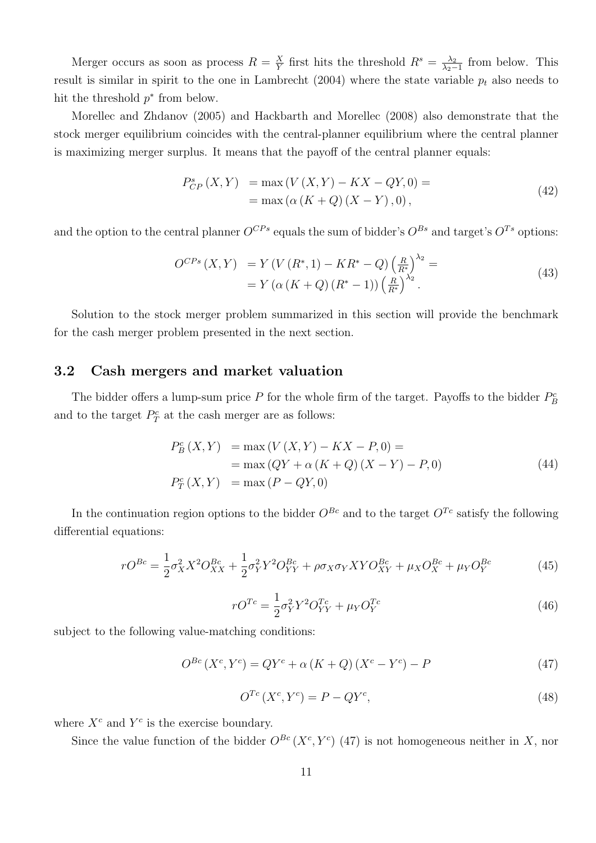Merger occurs as soon as process  $R = \frac{X}{Y}$  $\frac{X}{Y}$  first hits the threshold  $R^s = \frac{\lambda_2}{\lambda_2 - \lambda_3}$  $\frac{\lambda_2}{\lambda_2-1}$  from below. This result is similar in spirit to the one in Lambrecht (2004) where the state variable  $p_t$  also needs to hit the threshold  $p^*$  from below.

Morellec and Zhdanov (2005) and Hackbarth and Morellec (2008) also demonstrate that the stock merger equilibrium coincides with the central-planner equilibrium where the central planner is maximizing merger surplus. It means that the payoff of the central planner equals:

$$
P_{CP}^{s}(X,Y) = \max(V(X,Y) - KX - QY,0) =
$$
  
= max(\alpha (K + Q) (X - Y), 0), (42)

and the option to the central planner  $O^{CPs}$  equals the sum of bidder's  $O^{Bs}$  and target's  $O^{Ts}$  options:

$$
O^{CPs}(X,Y) = Y(V(R^*,1) - KR^* - Q)\left(\frac{R}{R^*}\right)^{\lambda_2} =
$$
  
=  $Y(\alpha(K+Q)(R^*-1))\left(\frac{R}{R^*}\right)^{\lambda_2}.$  (43)

Solution to the stock merger problem summarized in this section will provide the benchmark for the cash merger problem presented in the next section.

### <span id="page-10-1"></span>3.2 Cash mergers and market valuation

The bidder offers a lump-sum price  $P$  for the whole firm of the target. Payoffs to the bidder  $P_B^c$ and to the target  $P_T^c$  at the cash merger are as follows:

$$
P_B^c(X, Y) = \max(V(X, Y) - KX - P, 0) =
$$
  
=  $\max(QY + \alpha(K + Q)(X - Y) - P, 0)$   

$$
P_T^c(X, Y) = \max(P - QY, 0)
$$
 (44)

In the continuation region options to the bidder  $O^{Bc}$  and to the target  $O^{Tc}$  satisfy the following differential equations:

$$
rO^{Bc} = \frac{1}{2}\sigma_X^2 X^2 O_{XX}^{Bc} + \frac{1}{2}\sigma_Y^2 Y^2 O_{YY}^{Bc} + \rho \sigma_X \sigma_Y X Y O_{XY}^{Bc} + \mu_X O_X^{Bc} + \mu_Y O_Y^{Bc}
$$
(45)

$$
rO^{Tc} = \frac{1}{2}\sigma_Y^2 Y^2 O_{YY}^{Tc} + \mu_Y O_Y^{Tc}
$$
\n(46)

subject to the following value-matching conditions:

<span id="page-10-0"></span>
$$
O^{Bc}(X^c, Y^c) = QY^c + \alpha (K + Q)(X^c - Y^c) - P \tag{47}
$$

$$
O^{Tc}(X^c, Y^c) = P - QY^c,\tag{48}
$$

where  $X^c$  and  $Y^c$  is the exercise boundary.

Since the value function of the bidder  $O^{Bc}(X^c, Y^c)$  [\(47\)](#page-10-0) is not homogeneous neither in X, nor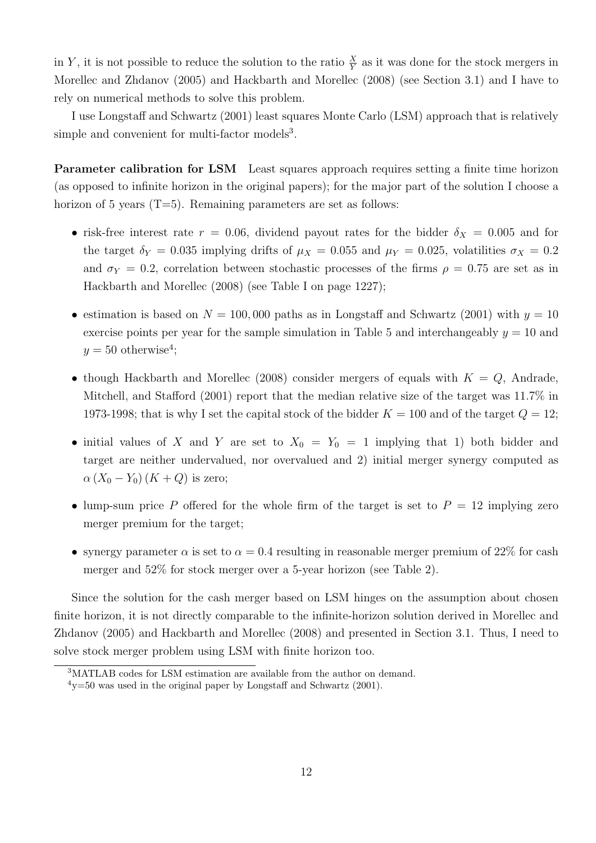in Y, it is not possible to reduce the solution to the ratio  $\frac{X}{Y}$  as it was done for the stock mergers in Morellec and Zhdanov (2005) and Hackbarth and Morellec (2008) (see Section [3.1\)](#page-8-4) and I have to rely on numerical methods to solve this problem.

I use Longstaff and Schwartz (2001) least squares Monte Carlo (LSM) approach that is relatively simple and convenient for multi-factor models<sup>[3](#page-11-0)</sup>.

Parameter calibration for LSM Least squares approach requires setting a finite time horizon (as opposed to infinite horizon in the original papers); for the major part of the solution I choose a horizon of 5 years  $(T=5)$ . Remaining parameters are set as follows:

- risk-free interest rate  $r = 0.06$ , dividend payout rates for the bidder  $\delta_X = 0.005$  and for the target  $\delta_Y = 0.035$  implying drifts of  $\mu_X = 0.055$  and  $\mu_Y = 0.025$ , volatilities  $\sigma_X = 0.2$ and  $\sigma_Y = 0.2$ , correlation between stochastic processes of the firms  $\rho = 0.75$  are set as in Hackbarth and Morellec (2008) (see Table I on page 1227);
- estimation is based on  $N = 100,000$  paths as in Longstaff and Schwartz (2001) with  $y = 10$ exercise points per year for the sample simulation in Table [5](#page-17-0) and interchangeably  $y = 10$  and  $y = 50$  otherwise<sup>[4](#page-11-1)</sup>;
- though Hackbarth and Morellec (2008) consider mergers of equals with  $K = Q$ , Andrade, Mitchell, and Stafford (2001) report that the median relative size of the target was 11.7% in 1973-1998; that is why I set the capital stock of the bidder  $K = 100$  and of the target  $Q = 12$ ;
- initial values of X and Y are set to  $X_0 = Y_0 = 1$  implying that 1) both bidder and target are neither undervalued, nor overvalued and 2) initial merger synergy computed as  $\alpha (X_0 - Y_0) (K + Q)$  is zero;
- lump-sum price P offered for the whole firm of the target is set to  $P = 12$  implying zero merger premium for the target;
- synergy parameter  $\alpha$  is set to  $\alpha = 0.4$  resulting in reasonable merger premium of 22% for cash merger and 52% for stock merger over a 5-year horizon (see Table [2\)](#page-14-0).

Since the solution for the cash merger based on LSM hinges on the assumption about chosen finite horizon, it is not directly comparable to the infinite-horizon solution derived in Morellec and Zhdanov (2005) and Hackbarth and Morellec (2008) and presented in Section [3.1.](#page-8-4) Thus, I need to solve stock merger problem using LSM with finite horizon too.

<span id="page-11-0"></span><sup>3</sup>MATLAB codes for LSM estimation are available from the author on demand.

<span id="page-11-1"></span> $4v=50$  was used in the original paper by Longstaff and Schwartz (2001).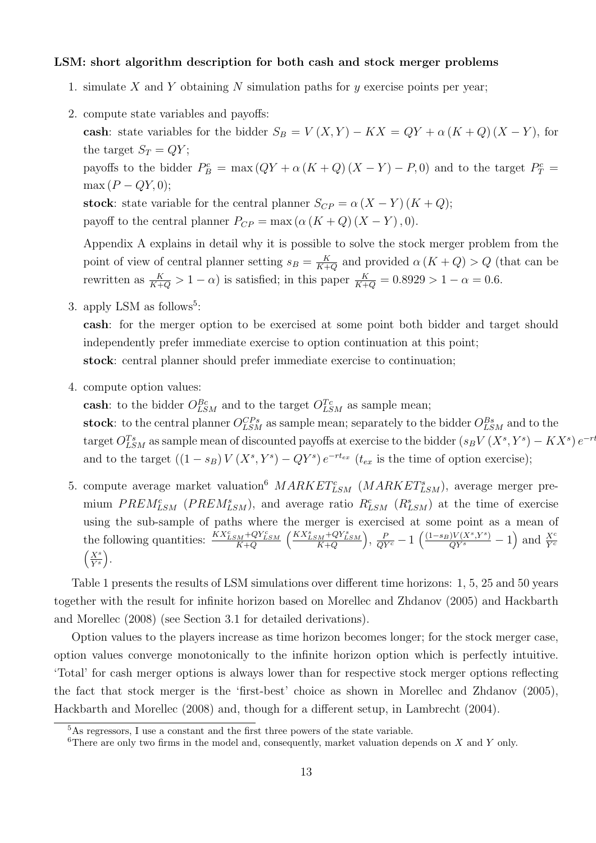#### LSM: short algorithm description for both cash and stock merger problems

- 1. simulate X and Y obtaining N simulation paths for  $y$  exercise points per year;
- 2. compute state variables and payoffs:

cash: state variables for the bidder  $S_B = V(X, Y) - KX = QY + \alpha (K + Q) (X - Y)$ , for the target  $S_T = QY$ ; payoffs to the bidder  $P_B^c = \max(QY + \alpha (K+Q) (X-Y) - P, 0)$  and to the target  $P_T^c =$  $\max (P - QY, 0);$ stock: state variable for the central planner  $S_{CP} = \alpha (X - Y) (K + Q);$ payoff to the central planner  $P_{CP} = \max(\alpha (K+Q) (X-Y), 0).$ 

Appendix [A](#page-23-1) explains in detail why it is possible to solve the stock merger problem from the point of view of central planner setting  $s_B = \frac{K}{K+1}$  $\frac{K}{K+Q}$  and provided  $\alpha(K+Q) > Q$  (that can be rewritten as  $\frac{K}{K+Q} > 1 - \alpha$ ) is satisfied; in this paper  $\frac{K}{K+Q} = 0.8929 > 1 - \alpha = 0.6$ .

3. apply LSM as follows<sup>[5](#page-12-0)</sup>:

cash: for the merger option to be exercised at some point both bidder and target should independently prefer immediate exercise to option continuation at this point; stock: central planner should prefer immediate exercise to continuation;

4. compute option values:

cash: to the bidder  $O_{LSM}^{Bc}$  and to the target  $O_{LSM}^{Tc}$  as sample mean;

stock: to the central planner  $O_{LSM}^{CPs}$  as sample mean; separately to the bidder  $O_{LSM}^{Bs}$  and to the target  $O_{LSM}^{Ts}$  as sample mean of discounted payoffs at exercise to the bidder  $(s_BV(X^s, Y^s) - KX^s)e^{-rt}$ and to the target  $((1 - s_B)V(X^s, Y^s) - QY^s)e^{-rt_{ex}}$   $(t_{ex}$  is the time of option exercise);

5. compute average market valuation<sup>[6](#page-12-1)</sup>  $MARKET_{LSM}^{c}$  ( $MARKET_{LSM}^{s}$ ), average merger premium  $PREM_{LSM}^c$  ( $PREM_{LSM}^s$ ), and average ratio  $R_{LSM}^c$  ( $R_{LSM}^s$ ) at the time of exercise using the sub-sample of paths where the merger is exercised at some point as a mean of the following quantities:  $\frac{KX_{LSM}^c + QY_{LSM}^c}{K+Q}$  $\Big(\frac{K X_{LSM}^s + Q Y_{LSM}^s }{K+Q}$ ),  $\frac{P}{QY^c} - 1 \left( \frac{(1-s_B)V(X^s,Y^s)}{QY^s} - 1 \right)$  and  $\frac{X^c}{Y^c}$  $\left( \underline{X}^{s}\right)$  $\overline{Y^s}$ .

Table [1](#page-14-0) presents the results of LSM simulations over different time horizons: 1, 5, 25 and 50 years together with the result for infinite horizon based on Morellec and Zhdanov (2005) and Hackbarth and Morellec (2008) (see Section [3.1](#page-8-4) for detailed derivations).

Option values to the players increase as time horizon becomes longer; for the stock merger case, option values converge monotonically to the infinite horizon option which is perfectly intuitive. 'Total' for cash merger options is always lower than for respective stock merger options reflecting the fact that stock merger is the 'first-best' choice as shown in Morellec and Zhdanov (2005), Hackbarth and Morellec (2008) and, though for a different setup, in Lambrecht (2004).

<span id="page-12-0"></span><sup>&</sup>lt;sup>5</sup>As regressors, I use a constant and the first three powers of the state variable.

<span id="page-12-1"></span> $6$ There are only two firms in the model and, consequently, market valuation depends on X and Y only.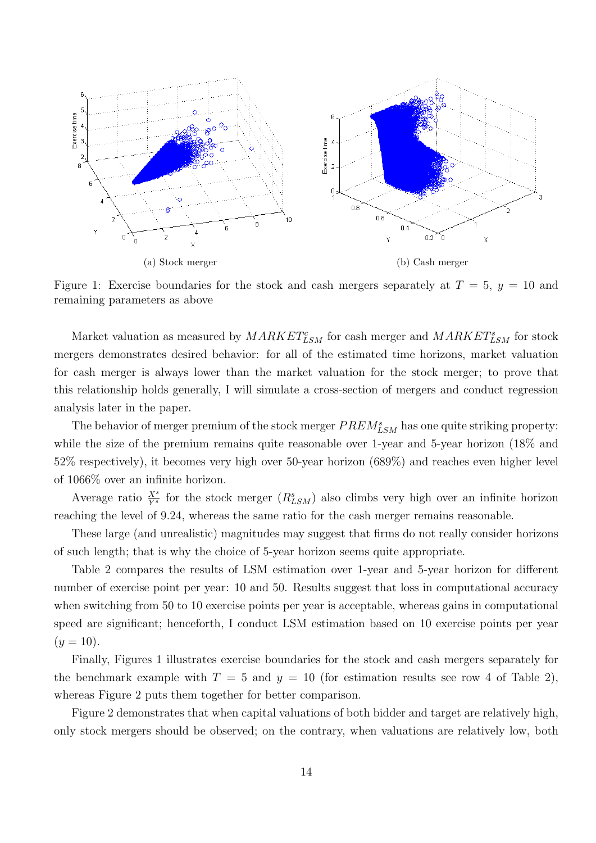<span id="page-13-0"></span>

Figure 1: Exercise boundaries for the stock and cash mergers separately at  $T = 5$ ,  $y = 10$  and remaining parameters as above

Market valuation as measured by  $MARKET_{LSM}^c$  for cash merger and  $MARKET_{LSM}^s$  for stock mergers demonstrates desired behavior: for all of the estimated time horizons, market valuation for cash merger is always lower than the market valuation for the stock merger; to prove that this relationship holds generally, I will simulate a cross-section of mergers and conduct regression analysis later in the paper.

The behavior of merger premium of the stock merger  $PREM_{LSM}^s$  has one quite striking property: while the size of the premium remains quite reasonable over 1-year and 5-year horizon (18% and 52% respectively), it becomes very high over 50-year horizon (689%) and reaches even higher level of 1066% over an infinite horizon.

Average ratio  $\frac{X^s}{Y^s}$  for the stock merger  $(R_{LSM}^s)$  also climbs very high over an infinite horizon reaching the level of 9.24, whereas the same ratio for the cash merger remains reasonable.

These large (and unrealistic) magnitudes may suggest that firms do not really consider horizons of such length; that is why the choice of 5-year horizon seems quite appropriate.

Table [2](#page-14-0) compares the results of LSM estimation over 1-year and 5-year horizon for different number of exercise point per year: 10 and 50. Results suggest that loss in computational accuracy when switching from 50 to 10 exercise points per year is acceptable, whereas gains in computational speed are significant; henceforth, I conduct LSM estimation based on 10 exercise points per year  $(y = 10)$ .

Finally, Figures [1](#page-13-0) illustrates exercise boundaries for the stock and cash mergers separately for the benchmark example with  $T = 5$  and  $y = 10$  (for estimation results see row 4 of Table [2\)](#page-14-0), whereas Figure [2](#page-16-0) puts them together for better comparison.

Figure [2](#page-16-0) demonstrates that when capital valuations of both bidder and target are relatively high, only stock mergers should be observed; on the contrary, when valuations are relatively low, both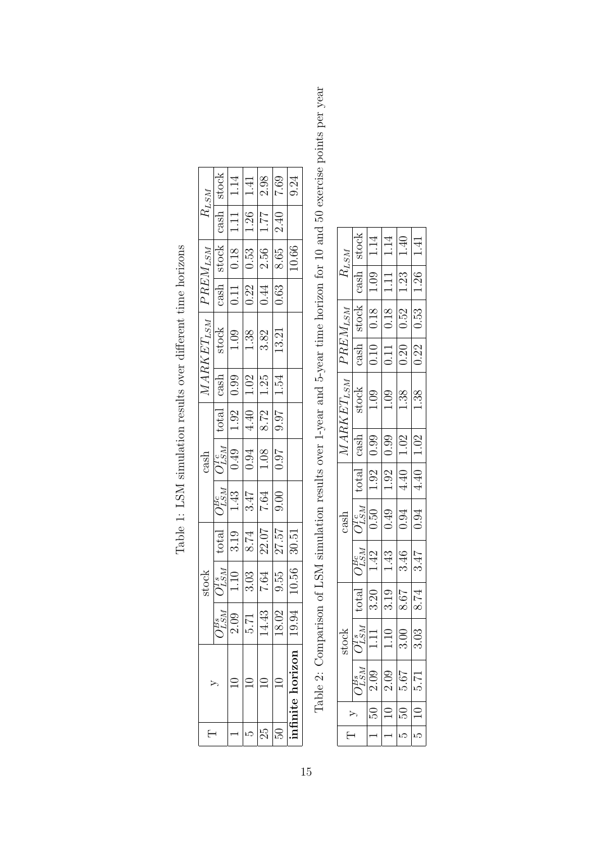<span id="page-14-0"></span>

| stock<br>1.14<br>2.98<br>$7.69\,$<br>9.24<br>$1.41\,$<br>$R_{LSM}$<br>$\cosh$<br>$1.26\,$<br>1.77<br>$\overline{1.11}$<br>2.40<br>$\frac{PREM_{LSM}}{\mathrm{cash}}$ stock<br>10.66<br>$\overline{0.18}$<br>2.56<br>$0.53\,$<br>8.65<br>$\overline{0.44}$<br>$\frac{11}{0.22}$<br>0.63<br>$MARKET_{LSM}$<br>stock<br>13.21<br>$1.09\,$<br>1.38<br>3.82<br>$\frac{\text{cash}}{0.90}$<br>1.25<br>1.54<br>8.72<br>$\frac{\text{total}}{1.92}$<br>$\sqrt{4.40}$<br>16.6<br>$\frac{O_{LSM}^{Te}}{0.49}$<br>0.94<br>$1.08\,$<br><b>16:0</b><br>$\cosh$<br>$\frac{O_{LSM}^{Be}}{1.43}$<br>$\sqrt{3.47}$<br>$7.64\,$<br>0.00<br>27.57<br>22.07<br>30.51<br>$\frac{\text{total}}{\text{3.19}}$<br>8.74<br>10.56<br>$\frac{\sum_{LSM}^{Ts}}{1.10}$<br>stock<br>3.03<br>$\!7.64$<br>0.55<br>2.09<br>$\ddot{4}$ :<br>Г7.<br>С<br>g<br>LSI<br>25<br>E<br>ນລ |
|-------------------------------------------------------------------------------------------------------------------------------------------------------------------------------------------------------------------------------------------------------------------------------------------------------------------------------------------------------------------------------------------------------------------------------------------------------------------------------------------------------------------------------------------------------------------------------------------------------------------------------------------------------------------------------------------------------------------------------------------------------------------------------------------------------------------------------------------------|
|                                                                                                                                                                                                                                                                                                                                                                                                                                                                                                                                                                                                                                                                                                                                                                                                                                                 |
|                                                                                                                                                                                                                                                                                                                                                                                                                                                                                                                                                                                                                                                                                                                                                                                                                                                 |
|                                                                                                                                                                                                                                                                                                                                                                                                                                                                                                                                                                                                                                                                                                                                                                                                                                                 |
|                                                                                                                                                                                                                                                                                                                                                                                                                                                                                                                                                                                                                                                                                                                                                                                                                                                 |
|                                                                                                                                                                                                                                                                                                                                                                                                                                                                                                                                                                                                                                                                                                                                                                                                                                                 |
|                                                                                                                                                                                                                                                                                                                                                                                                                                                                                                                                                                                                                                                                                                                                                                                                                                                 |
|                                                                                                                                                                                                                                                                                                                                                                                                                                                                                                                                                                                                                                                                                                                                                                                                                                                 |
|                                                                                                                                                                                                                                                                                                                                                                                                                                                                                                                                                                                                                                                                                                                                                                                                                                                 |
|                                                                                                                                                                                                                                                                                                                                                                                                                                                                                                                                                                                                                                                                                                                                                                                                                                                 |
|                                                                                                                                                                                                                                                                                                                                                                                                                                                                                                                                                                                                                                                                                                                                                                                                                                                 |
|                                                                                                                                                                                                                                                                                                                                                                                                                                                                                                                                                                                                                                                                                                                                                                                                                                                 |
|                                                                                                                                                                                                                                                                                                                                                                                                                                                                                                                                                                                                                                                                                                                                                                                                                                                 |
|                                                                                                                                                                                                                                                                                                                                                                                                                                                                                                                                                                                                                                                                                                                                                                                                                                                 |
|                                                                                                                                                                                                                                                                                                                                                                                                                                                                                                                                                                                                                                                                                                                                                                                                                                                 |

Table 1: LSM simulation results over different time horizons Table 1: LSM simulation results over different time horizons

Table 2: Comparison of LSM simulation results over 1-year and 5-year time horizon for 10 and 50 exercise points per year Table 2: Comparison of LSM simulation results over 1-year and 5-year time horizon for 10 and 50 exercise points per year

| $R_{LSM}$      | stock                              | 1.14                               | 1.14                        | $1.40\,$ | 1.41 |
|----------------|------------------------------------|------------------------------------|-----------------------------|----------|------|
|                | $\operatorname{cash}$              | $\boxed{1.09}$                     | $1.11\,$                    | $1.23\,$ | 1.26 |
| $PREM_{LSM}$   | stock                              | $\frac{81}{18}$                    | $\overline{0.18}$           | 0.52     | 0.53 |
|                | $\overline{\operatorname{cash}}$   |                                    | $\frac{10}{\sqrt{11}}$      | 0.20     | 0.22 |
| $MARKET_{LSM}$ | stock                              | 1.09                               | 1.09                        | 1.38     | 1.38 |
|                | $\cosh$                            | $\frac{66}{10}$                    | 0.99                        | $1.02\,$ | 1.02 |
|                |                                    | $\frac{\text{total}}{\text{1.92}}$ | 1.92                        | 4.40     | 4.40 |
| cash           |                                    |                                    | $\frac{O^{Tc}_{LSM}}{0.50}$ | 0.94     | 0.94 |
|                | $\frac{O_{LSM}^{BC}}{1.42}$        |                                    | 1.43                        | 3.46     | 3.47 |
|                | $\frac{\text{total}}{\text{3.20}}$ |                                    | 3.19                        | 8.67     | 8.74 |
| stock          | $\frac{5T_{LSM}^s}{1.11}$          |                                    | $1.10\,$                    | 3.00     | 3.03 |
|                | isr<br>Ta                          | 2.09                               | 2.09                        | 79.g     | 5.71 |
|                |                                    | PS.                                |                             | PS.      |      |
| ŀ              |                                    |                                    |                             | ω        | ഥ    |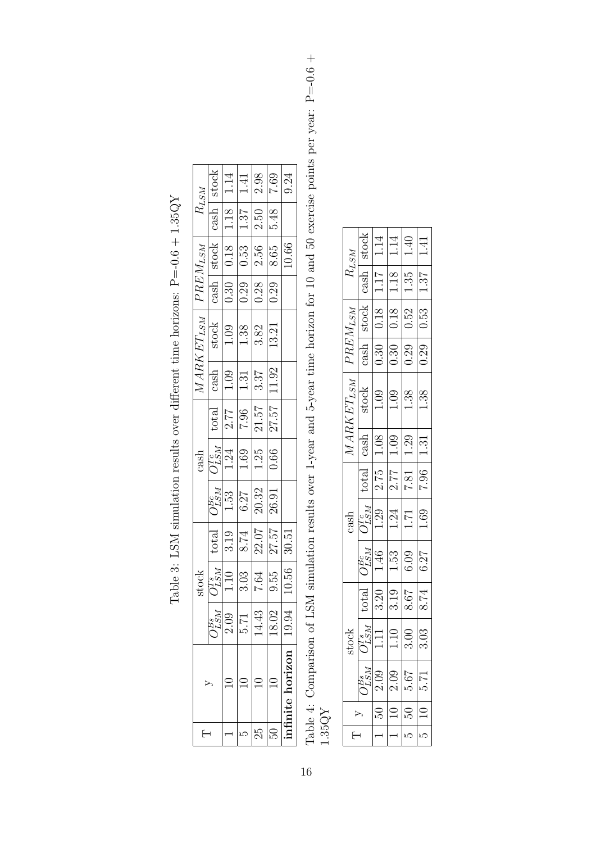<span id="page-15-0"></span>

|            |                                                                                                |                                                                                                                        | 1.41                                                                                      | 2.98                                                         | $7.69\,$  | 9.24            |  |
|------------|------------------------------------------------------------------------------------------------|------------------------------------------------------------------------------------------------------------------------|-------------------------------------------------------------------------------------------|--------------------------------------------------------------|-----------|-----------------|--|
| $R_{LSM}$  | $\begin{tabular}{ c c c c } \hline cash & stock \\ \hline 1.18 & 1.14 \\ \hline \end{tabular}$ |                                                                                                                        | $\frac{1.18}{1.37}$                                                                       | 2.50                                                         | 5.48      |                 |  |
|            |                                                                                                |                                                                                                                        |                                                                                           | 2.56                                                         | $8.65\,$  | 10.66           |  |
|            |                                                                                                |                                                                                                                        |                                                                                           | 0.28                                                         | 0.29      |                 |  |
|            |                                                                                                | $\begin{tabular}{c c} \hline \textit{MARK ET}_{LSM} \\\hline cash & stock \\\hline 1.09 & 1.09 \\\hline \end{tabular}$ | $1.38\,$                                                                                  | 3.82                                                         | 13.21     |                 |  |
|            |                                                                                                |                                                                                                                        | $1.31\,$                                                                                  | 3.37                                                         | 11.92     |                 |  |
|            |                                                                                                |                                                                                                                        |                                                                                           | $\frac{1001}{2.77}$ $\frac{1.96}{7.96}$ $\frac{1.57}{27.57}$ |           |                 |  |
|            |                                                                                                |                                                                                                                        | $\begin{array}{c} \cosh \\ \hline O_{LSM}^{Tc} \\ \hline 1.24 \\ \hline 1.69 \end{array}$ | $1.25$                                                       | 0.66      |                 |  |
|            |                                                                                                | $\frac{O_{LSM}^{Be}}{1.53}$<br>1.53                                                                                    |                                                                                           | 20.32                                                        | $26.91\,$ |                 |  |
|            |                                                                                                |                                                                                                                        | $\frac{1}{3.19}$<br>$\frac{1}{8.74}$                                                      | $\frac{22.07}{ }$                                            | 27.57     | 30.51           |  |
| stock<br>Ω |                                                                                                | $\frac{\overline{O^{Ts}_{LSM}}}{1.10}$                                                                                 |                                                                                           | $\frac{56}{100}$                                             |           | .0.56           |  |
|            | $\eta_{LSM}^{BS}$                                                                              | 2.09                                                                                                                   | 5.71                                                                                      | 14.43                                                        | 18.02     | 19.94           |  |
|            |                                                                                                |                                                                                                                        |                                                                                           |                                                              |           | mfinite horizon |  |
| Е          |                                                                                                |                                                                                                                        | ഥ                                                                                         | 25                                                           |           |                 |  |

Table 3: LSM simulation results over different time horizons: P=-0.6 + 1.35QY Table 3: LSM simulation results over different time horizons:  $P = -0.6 + 1.35 QY$ 

Table 4: Comparison of LSM simulation results over 1-year and 5-year time horizon for 10 and 50 exercise points per year: P=-0.6 + Table 4: Comparison of LSM simulation results over 1-year and 5-year time horizon for 10 and 50 exercise points per year:  $P = -0.6 + 1.35QY$ 

| $R_{LSM}$      | stock                                  | 1.14                        | 1.14                                         | 1.40        | 1.41 |
|----------------|----------------------------------------|-----------------------------|----------------------------------------------|-------------|------|
|                | $\cosh$                                | 1.17                        | 1.18                                         | $1.35\,$    | 1.87 |
|                | stock                                  | 0.18                        | 0.18                                         | 0.52        | 0.53 |
| $PREM_{LSM}$   | cash                                   | 0.30                        | 0.30                                         | 0.29        | 0.29 |
| $MARKET_{LSM}$ | stock                                  | 1.09                        | 1.09                                         | 1.38        | 1.38 |
|                |                                        |                             | $rac{64}{1.08}$ $rac{10}{1.2}$ $rac{1}{2.3}$ |             | 1.31 |
|                | total                                  | 2.75                        | 2.77                                         | <b>7.81</b> | 7.96 |
| $\cosh$        | $\overline{\frac{O_{LSM}^{Tc}}{1.29}}$ |                             | $1.24\,$                                     | 1.71        | 1.69 |
|                |                                        | $\frac{O_{LSM}^{Bc}}{1.46}$ |                                              | 6.09        | 6.27 |
|                | $\frac{\text{total}}{\text{3.20}}$     |                             | 3.19                                         | $8.67\,$    | 8.74 |
| stock          | $O_{LSM}^{Ts}$                         | $1.11\,$                    | $1.10\,$                                     | 3.00        | 3.03 |
|                | ря<br>LS                               | 2.09                        | 2.09                                         | 5.6         | Ņ    |
|                |                                        |                             |                                              |             |      |
|                |                                        | ł                           | ł                                            | IJ          | ഥ    |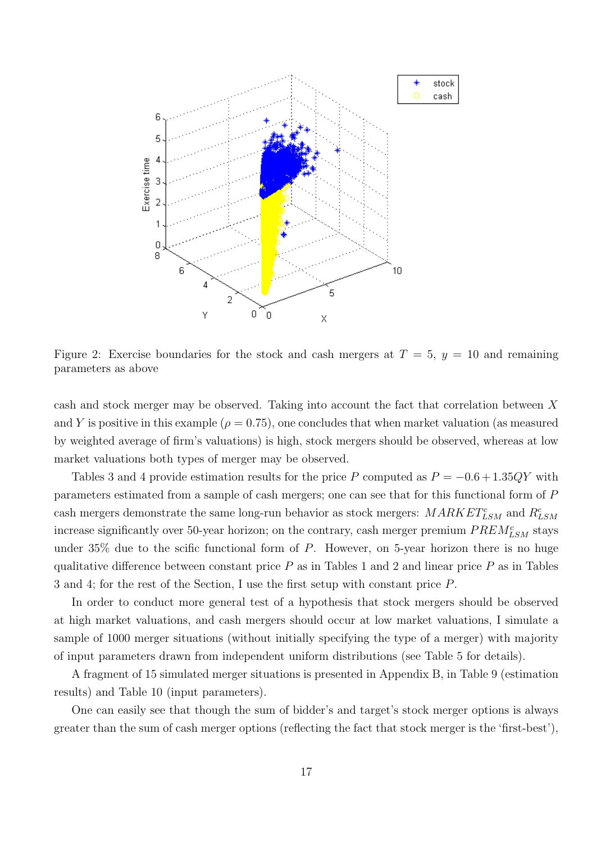<span id="page-16-0"></span>

Figure 2: Exercise boundaries for the stock and cash mergers at  $T = 5$ ,  $y = 10$  and remaining parameters as above

cash and stock merger may be observed. Taking into account the fact that correlation between X and Y is positive in this example ( $\rho = 0.75$ ), one concludes that when market valuation (as measured by weighted average of firm's valuations) is high, stock mergers should be observed, whereas at low market valuations both types of merger may be observed.

Tables [3](#page-15-0) and [4](#page-15-0) provide estimation results for the price P computed as  $P = -0.6 + 1.35QY$  with parameters estimated from a sample of cash mergers; one can see that for this functional form of P cash mergers demonstrate the same long-run behavior as stock mergers:  $MARKET_{LSM}^{c}$  and  $R_{LSM}^{c}$ increase significantly over 50-year horizon; on the contrary, cash merger premium  $PREM_{LSM}^c$  stays under  $35\%$  due to the scific functional form of P. However, on 5-year horizon there is no huge qualitative difference between constant price  $P$  as in Tables [1](#page-14-0) and [2](#page-14-0) and linear price  $P$  as in Tables [3](#page-15-0) and [4;](#page-15-0) for the rest of the Section, I use the first setup with constant price P.

In order to conduct more general test of a hypothesis that stock mergers should be observed at high market valuations, and cash mergers should occur at low market valuations, I simulate a sample of 1000 merger situations (without initially specifying the type of a merger) with majority of input parameters drawn from independent uniform distributions (see Table [5](#page-17-0) for details).

A fragment of 15 simulated merger situations is presented in Appendix [B,](#page-24-0) in Table [9](#page-25-0) (estimation results) and Table [10](#page-26-0) (input parameters).

One can easily see that though the sum of bidder's and target's stock merger options is always greater than the sum of cash merger options (reflecting the fact that stock merger is the 'first-best'),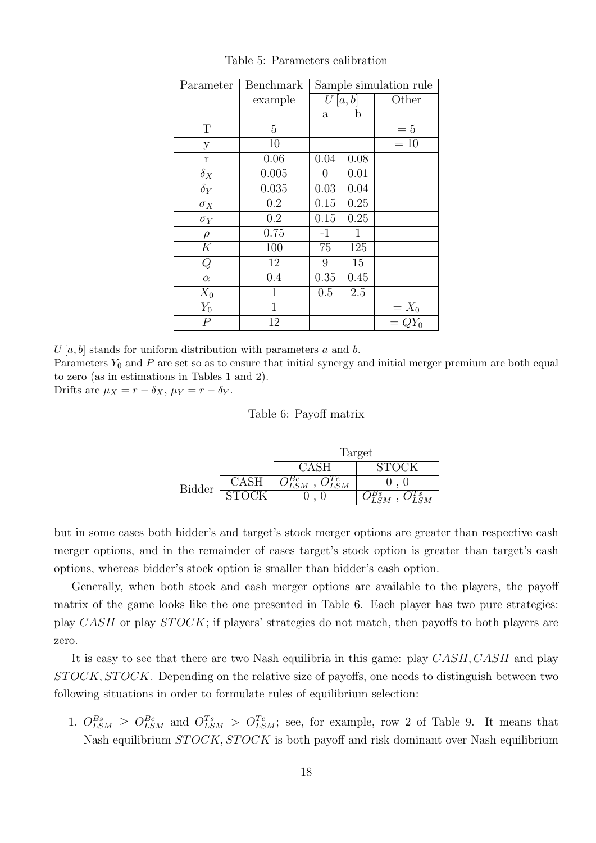<span id="page-17-0"></span>

| Parameter      | Benchmark      |                |              | Sample simulation rule |  |  |
|----------------|----------------|----------------|--------------|------------------------|--|--|
|                | example        | U[a,b]         |              | Other                  |  |  |
|                |                | a              | b            |                        |  |  |
| T              | $\overline{5}$ |                |              | $=5$                   |  |  |
| $\mathbf{y}$   | 10             |                |              | $=10$                  |  |  |
| $\mathbf r$    | 0.06           | 0.04           | 0.08         |                        |  |  |
| $\delta_X$     | 0.005          | $\overline{0}$ | 0.01         |                        |  |  |
| $\delta_Y$     | 0.035          | 0.03           | 0.04         |                        |  |  |
| $\sigma_X$     | 0.2            | $0.15\,$       | 0.25         |                        |  |  |
| $\sigma_Y$     | 0.2            | 0.15           | 0.25         |                        |  |  |
| $\rho$         | 0.75           | $-1$           | $\mathbf{1}$ |                        |  |  |
| K              | 100            | 75             | 125          |                        |  |  |
| Q              | 12             | 9              | 15           |                        |  |  |
| $\alpha$       | 0.4            | 0.35           | 0.45         |                        |  |  |
| $X_0$          | 1              | 0.5            | 2.5          |                        |  |  |
| $Y_0$          | $\mathbf{1}$   |                |              | $= X_0$ $= QY_0$       |  |  |
| $\overline{P}$ | 12             |                |              |                        |  |  |

Table 5: Parameters calibration

 $U[a, b]$  stands for uniform distribution with parameters a and b.

Parameters  $Y_0$  and P are set so as to ensure that initial synergy and initial merger premium are both equal to zero (as in estimations in Tables [1](#page-14-0) and [2\)](#page-14-0).

<span id="page-17-1"></span>Drifts are  $\mu_X = r - \delta_X$ ,  $\mu_Y = r - \delta_Y$ .

#### Table 6: Payoff matrix

|        | Target |       |  |  |  |  |  |  |
|--------|--------|-------|--|--|--|--|--|--|
|        |        | STOCK |  |  |  |  |  |  |
| Bidder |        |       |  |  |  |  |  |  |
|        |        |       |  |  |  |  |  |  |

but in some cases both bidder's and target's stock merger options are greater than respective cash merger options, and in the remainder of cases target's stock option is greater than target's cash options, whereas bidder's stock option is smaller than bidder's cash option.

Generally, when both stock and cash merger options are available to the players, the payoff matrix of the game looks like the one presented in Table [6.](#page-17-1) Each player has two pure strategies: play CASH or play  $STOCK$ ; if players' strategies do not match, then payoffs to both players are zero.

It is easy to see that there are two Nash equilibria in this game: play CASH, CASH and play  $STOCK, STOCK$ . Depending on the relative size of payoffs, one needs to distinguish between two following situations in order to formulate rules of equilibrium selection:

1.  $O_{LSM}^{Bs} \geq O_{LSM}^{Be}$  and  $O_{LSM}^{Ts} > O_{LSM}^{Tc}$ ; see, for example, row 2 of Table [9.](#page-25-0) It means that Nash equilibrium  $STOCK$ ,  $STOCK$  is both payoff and risk dominant over Nash equilibrium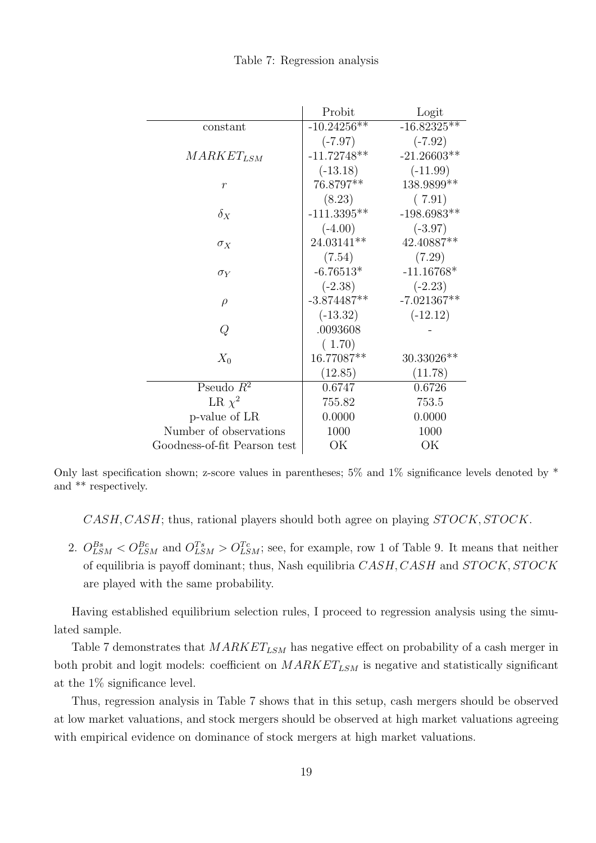|  | Table 7: Regression analysis |  |
|--|------------------------------|--|
|  |                              |  |

<span id="page-18-0"></span>

|                              | Probit        | Logit          |
|------------------------------|---------------|----------------|
| constant                     | $-10.24256**$ | $-16.82325***$ |
|                              | $(-7.97)$     | $(-7.92)$      |
| $MARKET_{LSM}$               | $-11.72748**$ | $-21.26603**$  |
|                              | $(-13.18)$    | $(-11.99)$     |
| $\boldsymbol{r}$             | 76.8797**     | 138.9899**     |
|                              | (8.23)        | (7.91)         |
| $\delta_X$                   | $-111.3395**$ | $-198.6983**$  |
|                              | $(-4.00)$     | $(-3.97)$      |
| $\sigma_X$                   | 24.03141**    | 42.40887**     |
|                              | (7.54)        | (7.29)         |
| $\sigma_Y$                   | $-6.76513*$   | $-11.16768*$   |
|                              | $(-2.38)$     | $(-2.23)$      |
| $\rho$                       | $-3.874487**$ | $-7.021367**$  |
|                              | $(-13.32)$    | $(-12.12)$     |
| Q                            | .0093608      |                |
|                              | (1.70)        |                |
| $X_0$                        | 16.77087**    | 30.33026**     |
|                              | (12.85)       | (11.78)        |
| Pseudo $R^2$                 | 0.6747        | 0.6726         |
| LR $\chi^2$                  | 755.82        | 753.5          |
| p-value of LR                | 0.0000        | 0.0000         |
| Number of observations       | 1000          | 1000           |
| Goodness-of-fit Pearson test | OK            | OK             |

Only last specification shown; z-score values in parentheses;  $5\%$  and  $1\%$  significance levels denoted by  $*$ and \*\* respectively.

 $CASH, CASH$ ; thus, rational players should both agree on playing  $STOCK, STOCK$ .

2.  $O_{LSM}^{Bs} < O_{LSM}^{Be}$  and  $O_{LSM}^{Ts} > O_{LSM}^{Tc}$ ; see, for example, row 1 of Table [9.](#page-25-0) It means that neither of equilibria is payoff dominant; thus, Nash equilibria  $CASH, CASH$  and  $STOCK, STOCK$ are played with the same probability.

Having established equilibrium selection rules, I proceed to regression analysis using the simulated sample.

Table [7](#page-18-0) demonstrates that  $MARKET_{LSM}$  has negative effect on probability of a cash merger in both probit and logit models: coefficient on  $MARKET_{LSM}$  is negative and statistically significant at the 1% significance level.

Thus, regression analysis in Table [7](#page-18-0) shows that in this setup, cash mergers should be observed at low market valuations, and stock mergers should be observed at high market valuations agreeing with empirical evidence on dominance of stock mergers at high market valuations.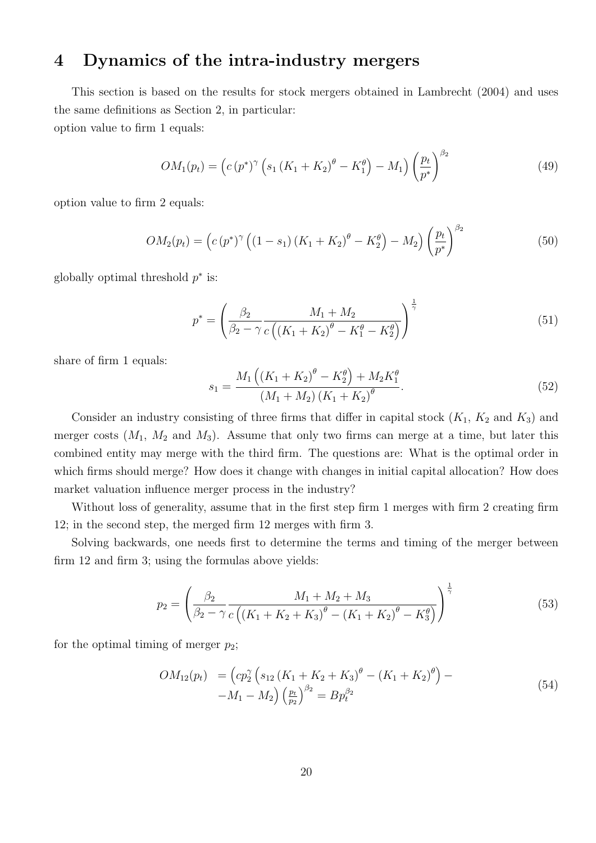## <span id="page-19-0"></span>4 Dynamics of the intra-industry mergers

This section is based on the results for stock mergers obtained in Lambrecht (2004) and uses the same definitions as Section [2,](#page-3-0) in particular: option value to firm 1 equals:

$$
OM_1(p_t) = (c (p^*)^{\gamma} (s_1 (K_1 + K_2)^{\theta} - K_1^{\theta}) - M_1) (\frac{p_t}{p^*})^{\beta_2}
$$
\n(49)

option value to firm 2 equals:

$$
OM_2(p_t) = (c (p^*)^{\gamma} ((1 - s_1) (K_1 + K_2)^{\theta} - K_2^{\theta}) - M_2) (\frac{p_t}{p^*})^{\beta_2}
$$
(50)

globally optimal threshold  $p^*$  is:

<span id="page-19-1"></span>
$$
p^* = \left(\frac{\beta_2}{\beta_2 - \gamma} \frac{M_1 + M_2}{c\left((K_1 + K_2)^{\theta} - K_1^{\theta} - K_2^{\theta}\right)}\right)^{\frac{1}{\gamma}}
$$
(51)

share of firm 1 equals:

<span id="page-19-2"></span>
$$
s_1 = \frac{M_1\left((K_1 + K_2)^{\theta} - K_2^{\theta}\right) + M_2 K_1^{\theta}}{(M_1 + M_2)\left(K_1 + K_2\right)^{\theta}}.
$$
\n(52)

Consider an industry consisting of three firms that differ in capital stock  $(K_1, K_2$  and  $K_3)$  and merger costs  $(M_1, M_2, M_3)$ . Assume that only two firms can merge at a time, but later this combined entity may merge with the third firm. The questions are: What is the optimal order in which firms should merge? How does it change with changes in initial capital allocation? How does market valuation influence merger process in the industry?

Without loss of generality, assume that in the first step firm 1 merges with firm 2 creating firm 12; in the second step, the merged firm 12 merges with firm 3.

Solving backwards, one needs first to determine the terms and timing of the merger between firm 12 and firm 3; using the formulas above yields:

$$
p_2 = \left(\frac{\beta_2}{\beta_2 - \gamma} \frac{M_1 + M_2 + M_3}{c\left((K_1 + K_2 + K_3)^\theta - (K_1 + K_2)^\theta - K_3^\theta\right)}\right)^{\frac{1}{\gamma}}
$$
(53)

for the optimal timing of merger  $p_2$ ;

<span id="page-19-3"></span>
$$
OM_{12}(p_t) = \left( cp_2^{\gamma} \left( s_{12} \left( K_1 + K_2 + K_3 \right)^{\theta} - \left( K_1 + K_2 \right)^{\theta} \right) - M_1 - M_2 \right) \left( \frac{p_t}{p_2} \right)^{\beta_2} = B p_t^{\beta_2}
$$
\n
$$
(54)
$$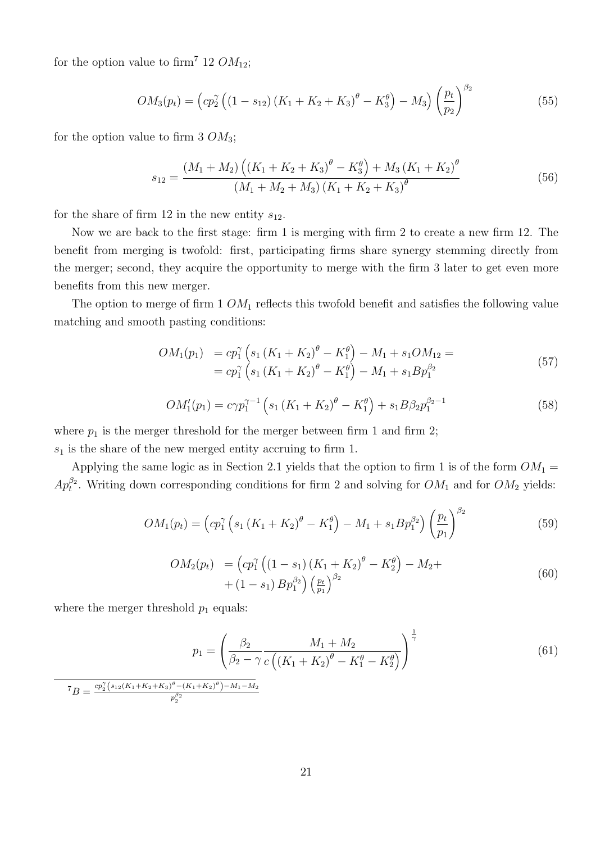for the option value to firm<sup>[7](#page-20-0)</sup> 12  $OM_{12}$ ;

<span id="page-20-1"></span>
$$
OM_3(p_t) = \left( cp_2^{\gamma} \left( (1 - s_{12}) \left( K_1 + K_2 + K_3 \right)^{\theta} - K_3^{\theta} \right) - M_3 \right) \left( \frac{p_t}{p_2} \right)^{\beta_2} \tag{55}
$$

for the option value to firm 3  $OM_3$ ;

$$
s_{12} = \frac{(M_1 + M_2) \left( (K_1 + K_2 + K_3)^{\theta} - K_3^{\theta} \right) + M_3 (K_1 + K_2)^{\theta}}{(M_1 + M_2 + M_3) (K_1 + K_2 + K_3)^{\theta}}
$$
(56)

for the share of firm 12 in the new entity  $s_{12}$ .

Now we are back to the first stage: firm 1 is merging with firm 2 to create a new firm 12. The benefit from merging is twofold: first, participating firms share synergy stemming directly from the merger; second, they acquire the opportunity to merge with the firm 3 later to get even more benefits from this new merger.

The option to merge of firm  $1 \cdot OM_1$  reflects this twofold benefit and satisfies the following value matching and smooth pasting conditions:

$$
OM_1(p_1) = cp_1^{\gamma} \left( s_1 \left( K_1 + K_2 \right)^{\theta} - K_1^{\theta} \right) - M_1 + s_1 O M_{12} =
$$
  
=  $cp_1^{\gamma} \left( s_1 \left( K_1 + K_2 \right)^{\theta} - K_1^{\theta} \right) - M_1 + s_1 B p_1^{\beta_2}$  (57)

$$
OM_1'(p_1) = c\gamma p_1^{\gamma - 1} \left( s_1 \left( K_1 + K_2 \right)^{\theta} - K_1^{\theta} \right) + s_1 B \beta_2 p_1^{\beta_2 - 1} \tag{58}
$$

where  $p_1$  is the merger threshold for the merger between firm 1 and firm 2;  $s_1$  is the share of the new merged entity accruing to firm 1.

Applying the same logic as in Section [2.1](#page-3-1) yields that the option to firm 1 is of the form  $OM_1 =$  $Ap_t^{\beta_2}$ . Writing down corresponding conditions for firm 2 and solving for  $OM_1$  and for  $OM_2$  yields:

<span id="page-20-2"></span>
$$
OM_1(p_t) = \left( cp_1^{\gamma} \left( s_1 \left( K_1 + K_2 \right)^{\theta} - K_1^{\theta} \right) - M_1 + s_1 B p_1^{\beta_2} \right) \left( \frac{p_t}{p_1} \right)^{\beta_2} \tag{59}
$$

<span id="page-20-3"></span>
$$
OM_2(p_t) = (cp_1^{\gamma} ((1 - s_1) (K_1 + K_2)^{\theta} - K_2^{\theta}) - M_2 +
$$
  
 
$$
+ (1 - s_1) B p_1^{\beta_2}) (\frac{p_t}{p_1})^{\beta_2}
$$
 (60)

where the merger threshold  $p_1$  equals:

$$
p_1 = \left(\frac{\beta_2}{\beta_2 - \gamma} \frac{M_1 + M_2}{c\left((K_1 + K_2)^{\theta} - K_1^{\theta} - K_2^{\theta}\right)}\right)^{\frac{1}{\gamma}}
$$
(61)

<span id="page-20-0"></span> ${}^{7}B = \frac{cp_2^{\gamma}(s_{12}(K_1+K_2+K_3)^{\theta}-(K_1+K_2)^{\theta})-M_1-M_2}{\beta_2}$  $p_2^{\beta_2}$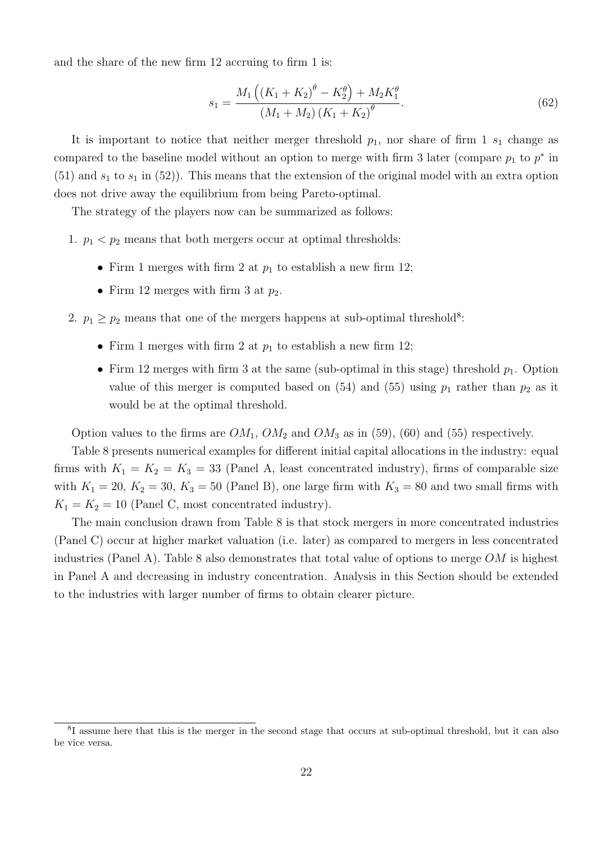and the share of the new firm 12 accruing to firm 1 is:

$$
s_1 = \frac{M_1\left((K_1 + K_2)^{\theta} - K_2^{\theta}\right) + M_2 K_1^{\theta}}{(M_1 + M_2)\left(K_1 + K_2\right)^{\theta}}.
$$
\n(62)

It is important to notice that neither merger threshold  $p_1$ , nor share of firm 1  $s_1$  change as compared to the baseline model without an option to merge with firm 3 later (compare  $p_1$  to  $p^*$  in  $(51)$  and  $s_1$  to  $s_1$  in  $(52)$ ). This means that the extension of the original model with an extra option does not drive away the equilibrium from being Pareto-optimal.

The strategy of the players now can be summarized as follows:

- 1.  $p_1 < p_2$  means that both mergers occur at optimal thresholds:
	- Firm 1 merges with firm 2 at  $p_1$  to establish a new firm 12;
	- Firm 12 merges with firm 3 at  $p_2$ .
- 2.  $p_1 \geq p_2$  means that one of the mergers happens at sub-optimal threshold<sup>[8](#page-21-0)</sup>:
	- Firm 1 merges with firm 2 at  $p_1$  to establish a new firm 12;
	- Firm 12 merges with firm 3 at the same (sub-optimal in this stage) threshold  $p_1$ . Option value of this merger is computed based on  $(54)$  and  $(55)$  using  $p_1$  rather than  $p_2$  as it would be at the optimal threshold.

Option values to the firms are  $OM_1$ ,  $OM_2$  and  $OM_3$  as in [\(59\)](#page-20-2), [\(60\)](#page-20-3) and [\(55\)](#page-20-1) respectively.

Table [8](#page-22-0) presents numerical examples for different initial capital allocations in the industry: equal firms with  $K_1 = K_2 = K_3 = 33$  (Panel A, least concentrated industry), firms of comparable size with  $K_1 = 20$ ,  $K_2 = 30$ ,  $K_3 = 50$  (Panel B), one large firm with  $K_3 = 80$  and two small firms with  $K_1 = K_2 = 10$  (Panel C, most concentrated industry).

The main conclusion drawn from Table [8](#page-22-0) is that stock mergers in more concentrated industries (Panel C) occur at higher market valuation (i.e. later) as compared to mergers in less concentrated industries (Panel A). Table [8](#page-22-0) also demonstrates that total value of options to merge  $OM$  is highest in Panel A and decreasing in industry concentration. Analysis in this Section should be extended to the industries with larger number of firms to obtain clearer picture.

<span id="page-21-0"></span><sup>&</sup>lt;sup>8</sup>I assume here that this is the merger in the second stage that occurs at sub-optimal threshold, but it can also be vice versa.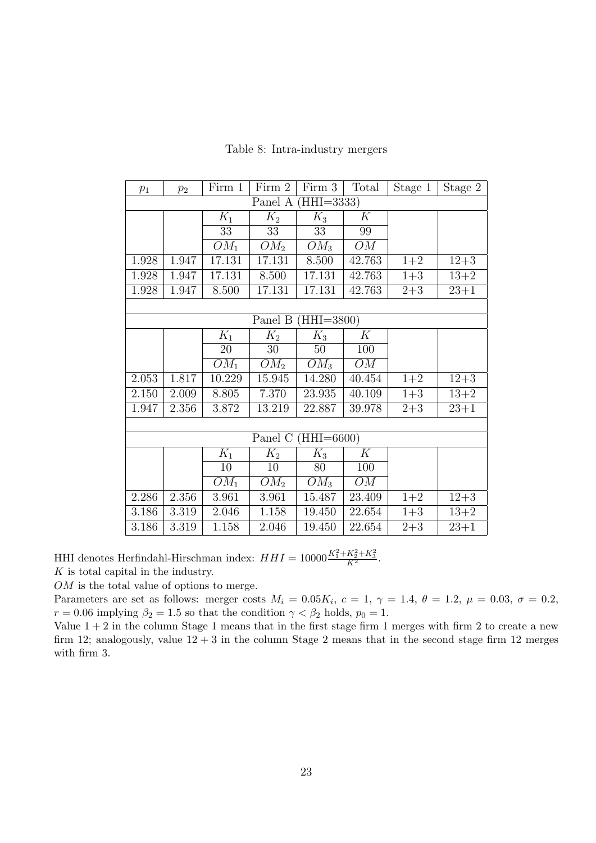<span id="page-22-0"></span>

| $p_1$ | $p_2$     | Firm 1 | Firm 2  | Firm 3               | Total  | Stage 1 | Stage 2  |
|-------|-----------|--------|---------|----------------------|--------|---------|----------|
|       |           |        | Panel A | $(HHI=3333)$         |        |         |          |
|       |           | $K_1$  | $K_2$   | $K_3$                | K      |         |          |
|       |           | 33     | 33      | 33                   | 99     |         |          |
|       |           | $OM_1$ | $OM_2$  | $OM_3$               | OM     |         |          |
| 1.928 | 1.947     | 17.131 | 17.131  | 8.500                | 42.763 | $1+2$   | $12 + 3$ |
| 1.928 | 1.947     | 17.131 | 8.500   | 17.131               | 42.763 | $1 + 3$ | $13 + 2$ |
| 1.928 | 1.947     | 8.500  | 17.131  | 17.131               | 42.763 | $2 + 3$ | $23 + 1$ |
|       |           |        |         |                      |        |         |          |
|       |           |        |         | Panel B $(HHI=3800)$ |        |         |          |
|       |           | $K_1$  | $K_2$   | $K_3$                | K      |         |          |
|       |           | 20     | 30      | 50                   | 100    |         |          |
|       |           | $OM_1$ | $OM_2$  | $OM_3$               | OM     |         |          |
| 2.053 | 1.817     | 10.229 | 15.945  | 14.280               | 40.454 | $1+2$   | $12 + 3$ |
| 2.150 | 2.009     | 8.805  | 7.370   | 23.935               | 40.109 | $1 + 3$ | $13 + 2$ |
| 1.947 | 2.356     | 3.872  | 13.219  | 22.887               | 39.978 | $2 + 3$ | $23 + 1$ |
|       |           |        |         |                      |        |         |          |
|       |           |        | Panel C | $(HHI = 6600)$       |        |         |          |
|       |           | $K_1$  | $K_2$   | $K_3$                | K      |         |          |
|       |           | 10     | 10      | 80                   | 100    |         |          |
|       |           | $OM_1$ | $OM_2$  | $OM_3$               | OM     |         |          |
| 2.286 | 2.356     | 3.961  | 3.961   | 15.487               | 23.409 | $1+2$   | $12 + 3$ |
| 3.186 | $3.319\,$ | 2.046  | 1.158   | 19.450               | 22.654 | $1 + 3$ | $13+2$   |
| 3.186 | 3.319     | 1.158  | 2.046   | 19.450               | 22.654 | $2 + 3$ | $23 + 1$ |

Table 8: Intra-industry mergers

HHI denotes Herfindahl-Hirschman index:  $HHI = 10000 \frac{K_1^2 + K_2^2 + K_3^2}{K^2}$ .

K is total capital in the industry.

OM is the total value of options to merge.

Parameters are set as follows: merger costs  $M_i = 0.05K_i$ ,  $c = 1$ ,  $\gamma = 1.4$ ,  $\theta = 1.2$ ,  $\mu = 0.03$ ,  $\sigma = 0.2$ ,  $r = 0.06$  implying  $\beta_2 = 1.5$  so that the condition  $\gamma < \beta_2$  holds,  $p_0 = 1$ .

Value  $1 + 2$  in the column Stage 1 means that in the first stage firm 1 merges with firm 2 to create a new firm 12; analogously, value  $12 + 3$  in the column Stage 2 means that in the second stage firm 12 merges with firm 3.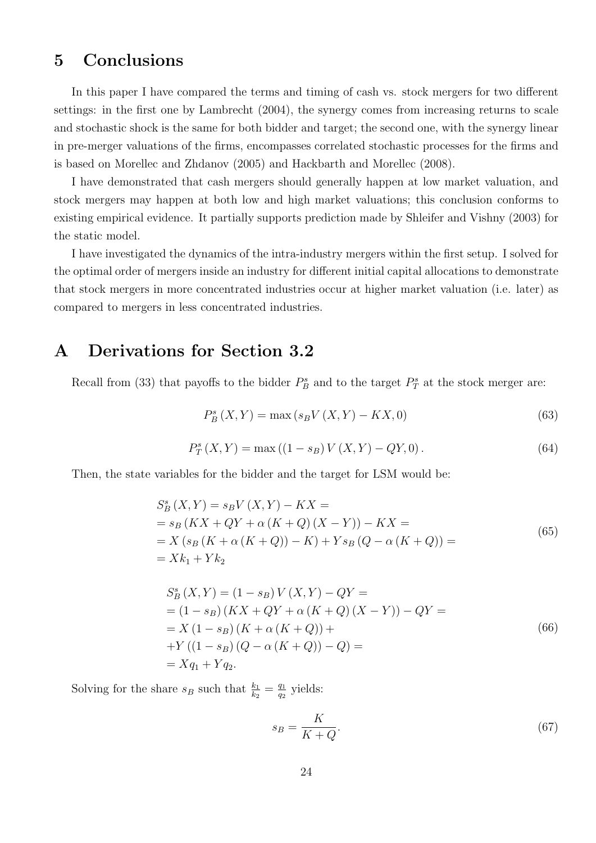## <span id="page-23-0"></span>5 Conclusions

In this paper I have compared the terms and timing of cash vs. stock mergers for two different settings: in the first one by Lambrecht (2004), the synergy comes from increasing returns to scale and stochastic shock is the same for both bidder and target; the second one, with the synergy linear in pre-merger valuations of the firms, encompasses correlated stochastic processes for the firms and is based on Morellec and Zhdanov (2005) and Hackbarth and Morellec (2008).

I have demonstrated that cash mergers should generally happen at low market valuation, and stock mergers may happen at both low and high market valuations; this conclusion conforms to existing empirical evidence. It partially supports prediction made by Shleifer and Vishny (2003) for the static model.

I have investigated the dynamics of the intra-industry mergers within the first setup. I solved for the optimal order of mergers inside an industry for different initial capital allocations to demonstrate that stock mergers in more concentrated industries occur at higher market valuation (i.e. later) as compared to mergers in less concentrated industries.

# <span id="page-23-1"></span>A Derivations for Section [3.2](#page-10-1)

Recall from [\(33\)](#page-9-0) that payoffs to the bidder  $P_B^s$  and to the target  $P_T^s$  at the stock merger are:

$$
P_{B}^{s}(X,Y) = \max(s_{B}V(X,Y) - KX,0)
$$
\n(63)

$$
P_T^s(X, Y) = \max((1 - s_B)V(X, Y) - QY, 0).
$$
\n(64)

Then, the state variables for the bidder and the target for LSM would be:

<span id="page-23-2"></span>
$$
S_B^s(X, Y) = s_B V(X, Y) - KX =
$$
  
=  $s_B (KX + QY + \alpha (K + Q) (X - Y)) - KX =$   
=  $X (s_B (K + \alpha (K + Q)) - K) + Y s_B (Q - \alpha (K + Q)) =$   
=  $Xk_1 + Yk_2$  (65)

<span id="page-23-3"></span>
$$
S_B^s(X, Y) = (1 - s_B) V(X, Y) - QY =
$$
  
= (1 - s\_B) (KX + QY + \alpha (K + Q) (X - Y)) - QY =  
= X (1 - s\_B) (K + \alpha (K + Q)) +  
+ Y ((1 - s\_B) (Q - \alpha (K + Q)) - Q) =  
= X q\_1 + Y q\_2. (66)

Solving for the share  $s_B$  such that  $\frac{k_1}{k_2} = \frac{q_1}{q_2}$  $\frac{q_1}{q_2}$  yields:

$$
s_B = \frac{K}{K+Q}.\tag{67}
$$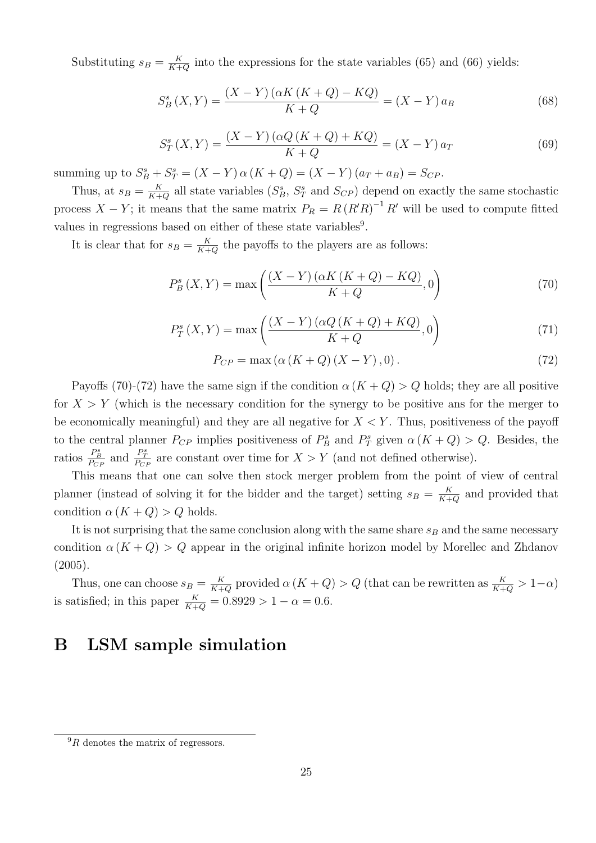Substituting  $s_B = \frac{K}{K+1}$  $\frac{K}{K+Q}$  into the expressions for the state variables [\(65\)](#page-23-2) and [\(66\)](#page-23-3) yields:

$$
S_B^s(X,Y) = \frac{(X-Y)(\alpha K(K+Q) - KQ)}{K+Q} = (X-Y)a_B
$$
\n(68)

$$
S_T^s(X,Y) = \frac{(X - Y)(\alpha Q(K + Q) + KQ)}{K + Q} = (X - Y) a_T
$$
\n(69)

summing up to  $S_B^s + S_T^s = (X - Y) \alpha (K + Q) = (X - Y) (a_T + a_B) = S_{CP}$ .

Thus, at  $s_B = \frac{K}{K+1}$  $\frac{K}{K+Q}$  all state variables  $(S_B^s, S_T^s$  and  $S_{CP}$ ) depend on exactly the same stochastic process  $X - Y$ ; it means that the same matrix  $P_R = R (R'R)^{-1} R'$  will be used to compute fitted values in regressions based on either of these state variables<sup>[9](#page-24-1)</sup>.

It is clear that for  $s_B = \frac{K}{K+1}$  $\frac{K}{K+Q}$  the payoffs to the players are as follows:

<span id="page-24-2"></span>
$$
P_B^s(X,Y) = \max\left(\frac{(X-Y)\left(\alpha K\left(K+Q\right)-KQ\right)}{K+Q},0\right) \tag{70}
$$

$$
P_T^s(X,Y) = \max\left(\frac{(X-Y)\left(\alpha Q\left(K+Q\right)+KQ\right)}{K+Q},0\right) \tag{71}
$$

<span id="page-24-3"></span>
$$
P_{CP} = \max(\alpha(K+Q)(X-Y), 0). \tag{72}
$$

Payoffs [\(70\)](#page-24-2)-[\(72\)](#page-24-3) have the same sign if the condition  $\alpha (K+Q) > Q$  holds; they are all positive for  $X > Y$  (which is the necessary condition for the synergy to be positive ans for the merger to be economically meaningful) and they are all negative for  $X \leq Y$ . Thus, positiveness of the payoff to the central planner  $P_{CP}$  implies positiveness of  $P_B^s$  and  $P_T^s$  given  $\alpha (K+Q) > Q$ . Besides, the ratios  $\frac{P_B^s}{P_{CP}}$  and  $\frac{P_T^s}{P_{CP}}$  are constant over time for  $X > Y$  (and not defined otherwise).

This means that one can solve then stock merger problem from the point of view of central planner (instead of solving it for the bidder and the target) setting  $s_B = \frac{K}{K+1}$  $\frac{K}{K+Q}$  and provided that condition  $\alpha(K+Q) > Q$  holds.

It is not surprising that the same conclusion along with the same share  $s_B$  and the same necessary condition  $\alpha (K+Q) > Q$  appear in the original infinite horizon model by Morellec and Zhdanov  $(2005).$ 

Thus, one can choose  $s_B = \frac{K}{K+1}$  $\frac{K}{K+Q}$  provided  $\alpha(K+Q) > Q$  (that can be rewritten as  $\frac{K}{K+Q} > 1-\alpha$ ) is satisfied; in this paper  $\frac{K}{K+Q} = 0.8929 > 1 - \alpha = 0.6$ .

# <span id="page-24-0"></span>B LSM sample simulation

<span id="page-24-1"></span> ${}^{9}R$  denotes the matrix of regressors.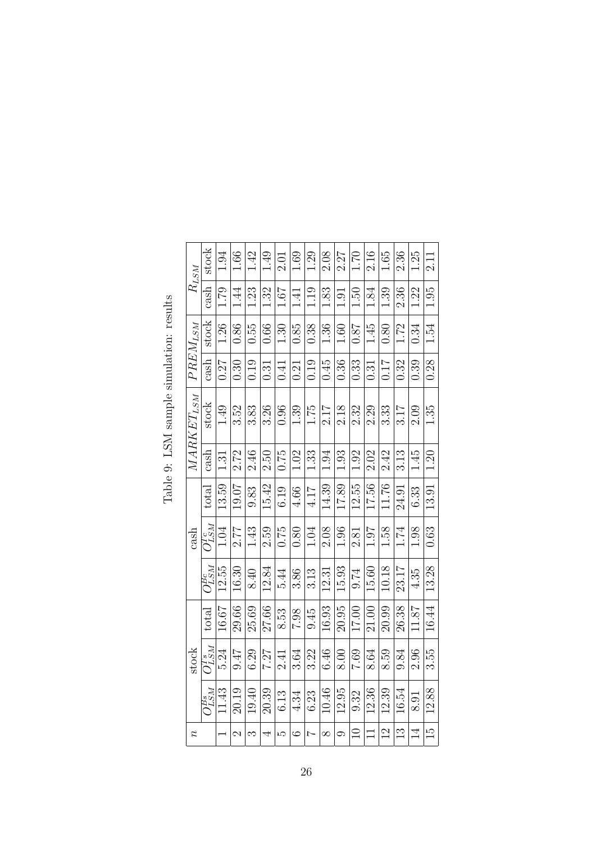<span id="page-25-0"></span>

| $R_{LSM}$      | stock                     | 1.94                     | 0.66          | 1.42  | 1.49  | 2.01 | 1.69    | 1.29   | 2.08     | 2.27    | 1.70  | 2.16   | 1.65          | 2.36          | 1.25           | 2.11           |
|----------------|---------------------------|--------------------------|---------------|-------|-------|------|---------|--------|----------|---------|-------|--------|---------------|---------------|----------------|----------------|
|                | cash                      | 1.79                     | 1.44          | 1.23  | 1.32  | 1.67 | 1.41    | 1.19   | 1.83     | 1.91    | 1.50  | 1.84   | 1.39          | 2.36          | 1.22           | 1.95           |
| $PREM_{LSM}$   | stock                     | 1.26                     | 0.86          | 0.55  | 0.66  | 1.30 | 0.85    | 0.38   | 1.36     | 1.60    | 0.87  | 1.45   | 0.80          | 1.72          | 0.34           | 1.54           |
|                | cash                      | 0.27                     | 0.30          | 0.19  | 0.31  | 0.41 | 0.21    | 0.19   | 0.45     | 0.36    | 0.33  | 0.31   | 0.17          | 0.32          | 0.39           | 0.28           |
| $MARKET_{LSM}$ | stock                     | 1.49                     | 3.52          | 3.83  | 3.26  | 0.96 | 1.39    | 1.75   | 2.17     | 2.18    | 2.32  | 2.29   | 333           | 3.17          | 2.09           | 1.35           |
|                | cash                      | $\frac{51}{2}$           | 2.72          | 2.46  | 2.50  | 0.75 | 1.02    | 1.33   | 1.94     | 1.93    | 1.92  | 2.02   | 2.42          | 3.13          | 1.45           | 1.20           |
|                | total                     | 13.59                    | 19.07         | 9.83  | 15.42 | 6.19 | 4.66    | 4.17   | 14.39    | 17.89   | 12.55 | 17.56  | 11.76         | 24.91         | 6.33           | 13.91          |
| cash           | $O_{LSM}^{Tc}$            | 1.04                     | 2.77          | 1.43  | 2.59  | 0.75 | 0.80    | 1.04   | 2.08     | 1.96    | 2.81  | 1.07   | 1.58          | 1.74          | 1.98           | 0.63           |
|                | $O_{LSM}^{B\varepsilon}$  | 12.55                    | 16.30         | 8.40  | 12.84 | 5.44 | 3.86    | 3.13   | 12.31    | 15.93   | 9.74  | 15.60  | 10.18         | 23.17         | 4.35           | 13.28          |
|                | total                     | 16.67                    | 29.66         | 25.69 | 27.66 | 8.53 | 7.98    | 9.45   | 16.93    | 20.95   | 17.00 | 21.00  | 20.99         | 26.38         | 11.87          | 16.44          |
| stock          | $O_{LSM}^{Ts}$            | 5.24                     | 9.47          | 6.29  | 7.27  | 2.41 | 3.64    | 3.22   | 6.46     | 8.00    | 7.69  | 8.64   | 8.59          | 9.84          | 2.96           | 3.55           |
|                | $O_{LSM}^{\overline{BS}}$ | 11.43                    | 20.19         | 19.40 | 20.39 | 6.13 | 4.34    | 6.23   | 10.46    | 12.95   | 9.32  | 12.36  | 12.39         | 16.54         | 8.91           | 12.88          |
|                |                           | $\overline{\phantom{0}}$ | $\mathcal{C}$ | S     | 4     | S    | $\circ$ | $\sim$ | $\infty$ | $\circ$ | $\Xi$ | $\Box$ | $\frac{2}{3}$ | $\frac{3}{1}$ | $\overline{4}$ | $\frac{15}{2}$ |

Table 9: LSM sample simulation: results Table 9: LSM sample simulation: results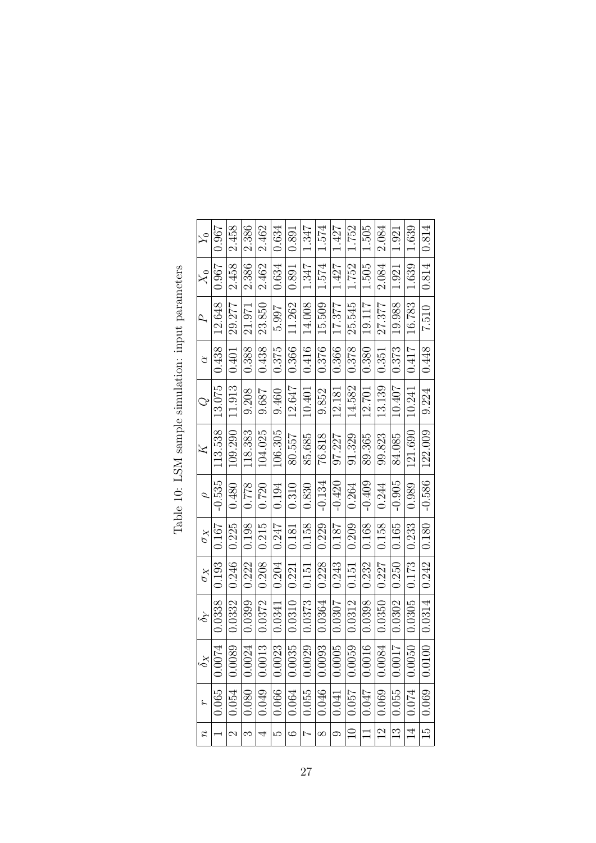<span id="page-26-0"></span>

| $\lambda_0$                 | 0.967                 | 2.458                 | 2.386            | 2.462                         | 0.634            | 0.891   | 1.347                  | 1.574    | 1.427    | 1.752              | 1.505    | 2.084          | 1.921                  | 1.639          | 0.814            |
|-----------------------------|-----------------------|-----------------------|------------------|-------------------------------|------------------|---------|------------------------|----------|----------|--------------------|----------|----------------|------------------------|----------------|------------------|
| $\stackrel{\sim}{X_0}$      | 0.967                 | 2.458                 | 2.386            | 2.462                         | 0.634            | 0.891   | 1.347                  | 1.574    | 1.427    | 1.752              | 1.505    | 2.084          | 1.921                  | 1.639          | 0.814            |
| A,                          | 12.648                | 29.277                | 21.971           | 23.850                        | 5.997            | 11.262  | 14.008                 | 15.509   | 17.377   | 25.545             | 19.117   | 27.377         | 19.988                 | 16.783         | 7.510            |
| $\alpha$                    | 0.438                 | 0.401                 | 0.388            | 0.438                         | 0.375            | 0.366   | 0.416                  | 0.376    | 0.366    | 0.378              | 0.380    | 0.351          | 0.373                  | 0.417          | 0.448            |
| $\mathbb{Q}$                | 13.075                | 11.913                | 9.208            | 9.687                         | 9.460            | 12.647  | 10.401                 | 9.852    | 12.181   | 14.582             | 12.701   | 13.139         | 10.407                 | 10.241         | 9.224            |
| Z                           | 113.538               | 109.290               | 118.383          | 104.025                       | 106.305          | 80.557  | 85.685                 | 76.818   | 97.227   | 91.329             | 89.365   | 99.823         | 84.085                 | 121.690        | 122.009          |
| $\overline{\rho}$           | $-0.535$              | 0.480                 | 0.778            | 0.720                         | 0.194            | 0.310   | 0.830                  | $-0.134$ | $-0.420$ | 0.264              | $-0.409$ | 0.244          | $-0.905$               | 0.989          | $-0.586$         |
| $\sigma_X$                  | 0.167                 | 0.225                 | 0.198            | 0.215                         | 0.247            | 0.181   | 0.158                  | 0.229    | 0.187    | 0.209              | 0.168    | 0.158          | 0.165                  | 0.233          | 0.180            |
| $\sigma_X$                  | 0.193                 | 0.246                 | 0.222            | 0.208                         | 0.204            | 0.221   | 0.151                  | 0.228    | 0.243    | 0.151              | 0.232    | 0.227          | 0.250                  | 0.173          | 0.242            |
| $\mathcal{S}_{\mathcal{Y}}$ | 0.0338                | 0.0332                | 0.0399           | 0.0372                        | 0.0341           | 0.0310  | 0.0373                 | 0.0364   | 0.0307   | 0.0312             | 0.0398   | 0.0350         | 0.0302                 | 0.0305         | 0.0314           |
| $\delta_X$                  | 0074<br>$\dot{\circ}$ | 0089<br>$\dot{\circ}$ | .0024<br>$\circ$ | .0013<br>$\frac{1}{\sqrt{2}}$ | .0023<br>$\circ$ | 0.0035  | .0029<br>$\dot{\circ}$ | 0.0093   | 0.0005   | 0.0059             | 0.0016   | 0.0084         | 7100.<br>$\dot{\circ}$ | 0.0050         | .0100<br>$\circ$ |
| $\tilde{}$                  | 0.065                 | 0.054                 | 0.080            | 0.049                         | 0.066            | 0.064   | 0.055                  | 0.046    | 0.041    | $\overline{0.057}$ | 0.047    | 0.069          | 0.055                  | 0.074          | 0.069            |
| $\scriptstyle{r}$           |                       | $\mathcal{C}$         | S                | 4                             | LΩ               | $\circ$ | $\overline{ }$         | $\infty$ | $\circ$  | $\Box$             | $\Box$   | $\overline{2}$ | $\mathbb{C}$           | $\overline{1}$ | $\frac{15}{ }$   |

Table 10: LSM sample simulation: input parameters Table 10: LSM sample simulation: input parameters